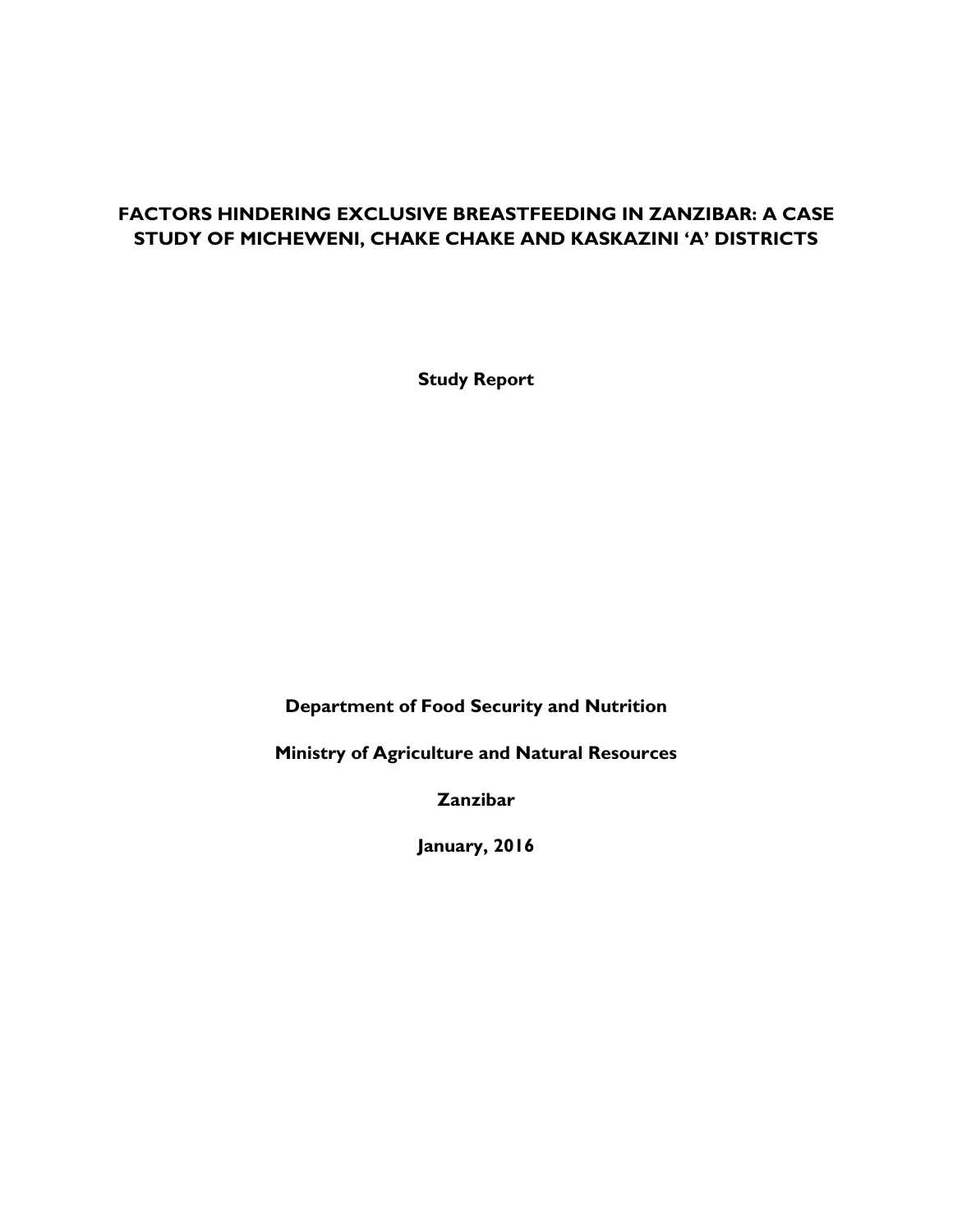# **FACTORS HINDERING EXCLUSIVE BREASTFEEDING IN ZANZIBAR: A CASE STUDY OF MICHEWENI, CHAKE CHAKE AND KASKAZINI 'A' DISTRICTS**

**Study Report**

**Department of Food Security and Nutrition**

**Ministry of Agriculture and Natural Resources**

**Zanzibar** 

**January, 2016**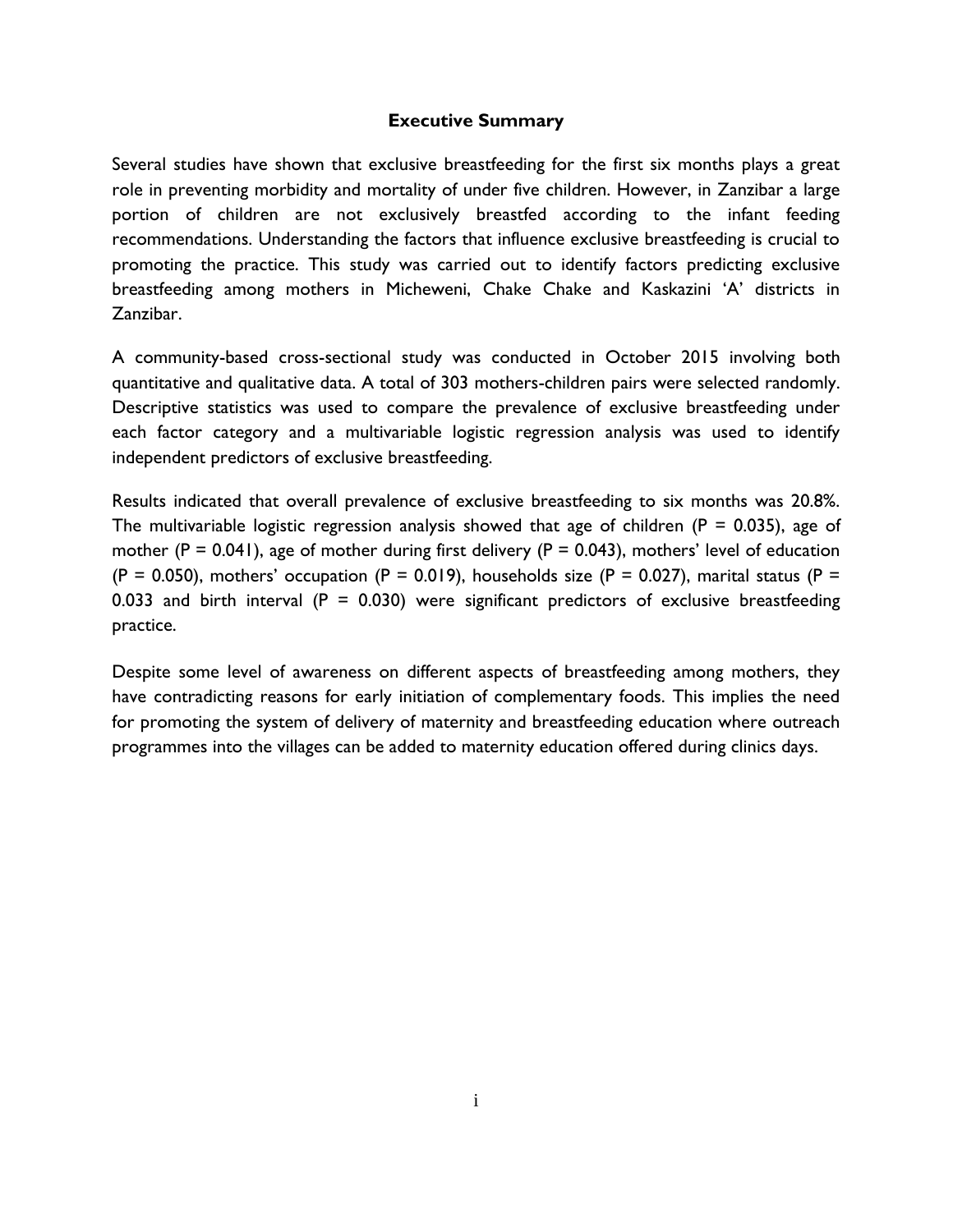#### **Executive Summary**

<span id="page-1-0"></span>Several studies have shown that exclusive breastfeeding for the first six months plays a great role in preventing morbidity and mortality of under five children. However, in Zanzibar a large portion of children are not exclusively breastfed according to the infant feeding recommendations. Understanding the factors that influence exclusive breastfeeding is crucial to promoting the practice. This study was carried out to identify factors predicting exclusive breastfeeding among mothers in Micheweni, Chake Chake and Kaskazini 'A' districts in Zanzibar.

A community-based cross-sectional study was conducted in October 2015 involving both quantitative and qualitative data. A total of 303 mothers-children pairs were selected randomly. Descriptive statistics was used to compare the prevalence of exclusive breastfeeding under each factor category and a multivariable logistic regression analysis was used to identify independent predictors of exclusive breastfeeding.

Results indicated that overall prevalence of exclusive breastfeeding to six months was 20.8%. The multivariable logistic regression analysis showed that age of children ( $P = 0.035$ ), age of mother (P = 0.041), age of mother during first delivery (P = 0.043), mothers' level of education (P = 0.050), mothers' occupation (P = 0.019), households size (P = 0.027), marital status (P = 0.033 and birth interval ( $P = 0.030$ ) were significant predictors of exclusive breastfeeding practice.

Despite some level of awareness on different aspects of breastfeeding among mothers, they have contradicting reasons for early initiation of complementary foods. This implies the need for promoting the system of delivery of maternity and breastfeeding education where outreach programmes into the villages can be added to maternity education offered during clinics days.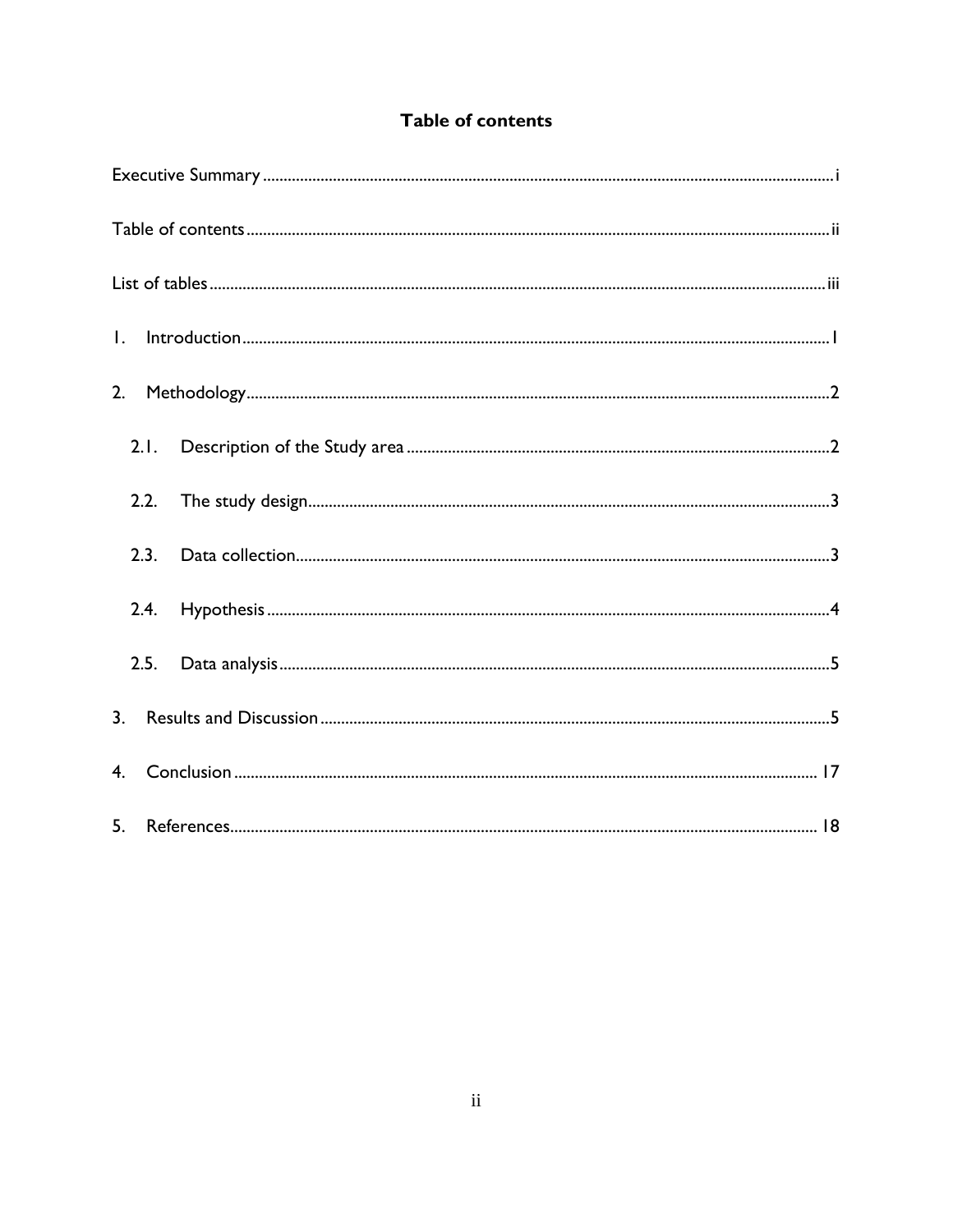| <b>Table of contents</b> |  |
|--------------------------|--|
|--------------------------|--|

<span id="page-2-0"></span>

| $\small \textsf{Introduction} \textcolor{red}{.} \textcolor{red}{.} \textcolor{red}{.} \textcolor{red}{.} \textcolor{red}{.} \textcolor{red}{.} \textcolor{red}{.} \textcolor{red}{.} \textcolor{red}{.} \textcolor{red}{.} \textcolor{red}{.} \textcolor{red}{.} \textcolor{red}{.} \textcolor{red}{.} \textcolor{red}{.} \textcolor{red}{.} \textcolor{red}{.} \textcolor{red}{.} \textcolor{red}{.} \textcolor{red}{.} \textcolor{red}{.} \textcolor{red}{.} \textcolor{red}{.} \textcolor{red}{.} \textcolor{red}{.} \textcolor{red}{.} \textcolor{$<br>$\mathbf{L}$ |
|--------------------------------------------------------------------------------------------------------------------------------------------------------------------------------------------------------------------------------------------------------------------------------------------------------------------------------------------------------------------------------------------------------------------------------------------------------------------------------------------------------------------------------------------------------------------------|
| 2.                                                                                                                                                                                                                                                                                                                                                                                                                                                                                                                                                                       |
| 2.1.                                                                                                                                                                                                                                                                                                                                                                                                                                                                                                                                                                     |
| 2.2.                                                                                                                                                                                                                                                                                                                                                                                                                                                                                                                                                                     |
| 2.3.                                                                                                                                                                                                                                                                                                                                                                                                                                                                                                                                                                     |
| 2.4.                                                                                                                                                                                                                                                                                                                                                                                                                                                                                                                                                                     |
| 2.5.                                                                                                                                                                                                                                                                                                                                                                                                                                                                                                                                                                     |
| 3.                                                                                                                                                                                                                                                                                                                                                                                                                                                                                                                                                                       |
|                                                                                                                                                                                                                                                                                                                                                                                                                                                                                                                                                                          |
|                                                                                                                                                                                                                                                                                                                                                                                                                                                                                                                                                                          |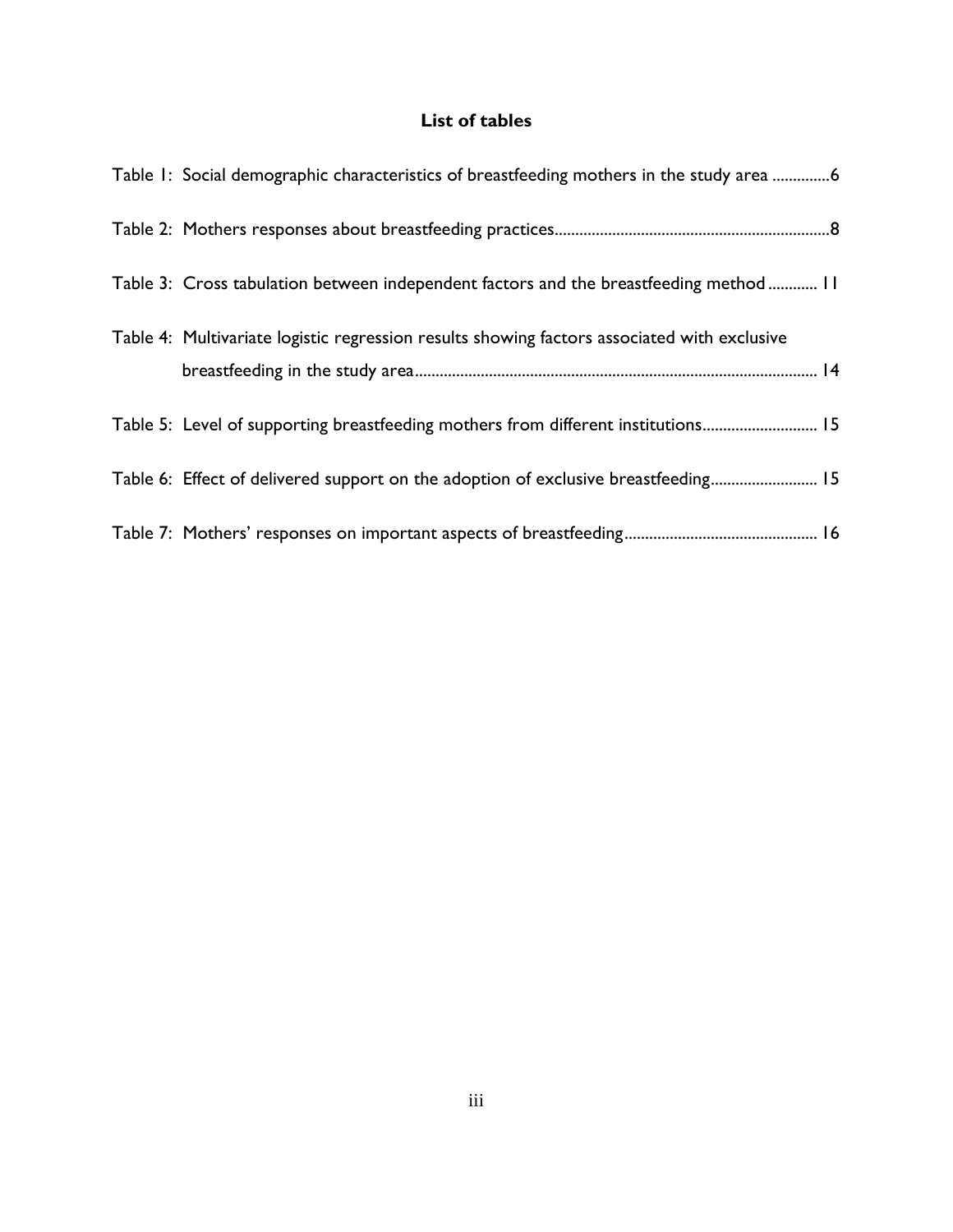# **List of tables**

<span id="page-3-0"></span>

| Table 1: Social demographic characteristics of breastfeeding mothers in the study area 6    |
|---------------------------------------------------------------------------------------------|
|                                                                                             |
| Table 3: Cross tabulation between independent factors and the breastfeeding method  11      |
| Table 4: Multivariate logistic regression results showing factors associated with exclusive |
| Table 5: Level of supporting breastfeeding mothers from different institutions 15           |
| Table 6: Effect of delivered support on the adoption of exclusive breastfeeding 15          |
|                                                                                             |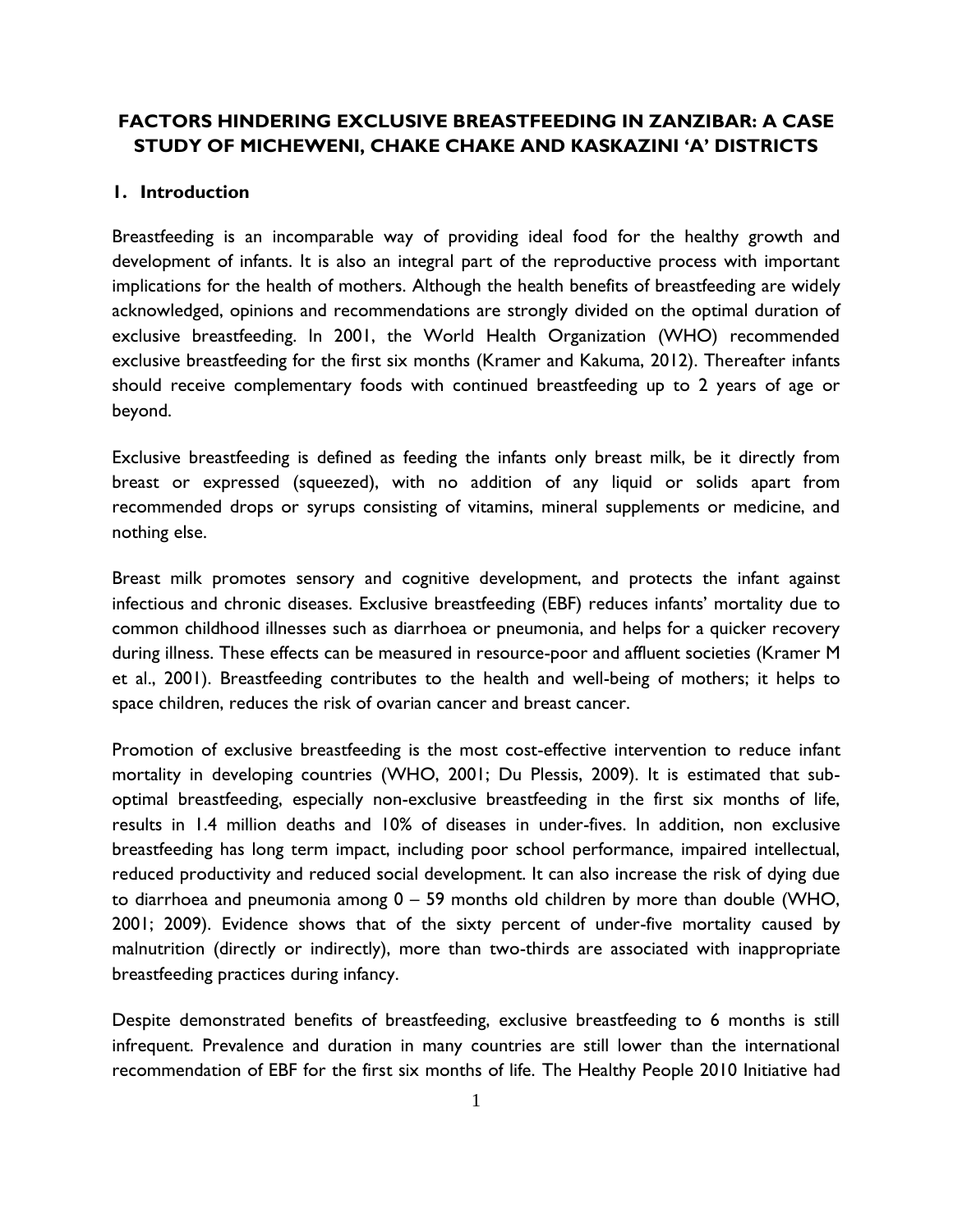# **FACTORS HINDERING EXCLUSIVE BREASTFEEDING IN ZANZIBAR: A CASE STUDY OF MICHEWENI, CHAKE CHAKE AND KASKAZINI 'A' DISTRICTS**

## <span id="page-4-0"></span>**1. Introduction**

Breastfeeding is an incomparable way of providing ideal food for the healthy growth and development of infants. It is also an integral part of the reproductive process with important implications for the health of mothers. Although the health benefits of breastfeeding are widely acknowledged, opinions and recommendations are strongly divided on the optimal duration of exclusive breastfeeding. In 2001, the World Health Organization (WHO) recommended exclusive breastfeeding for the first six months (Kramer and Kakuma, 2012). Thereafter infants should receive complementary foods with continued breastfeeding up to 2 years of age or beyond.

Exclusive breastfeeding is defined as feeding the infants only breast milk, be it directly from breast or expressed (squeezed), with no addition of any liquid or solids apart from recommended drops or syrups consisting of vitamins, mineral supplements or medicine, and nothing else.

Breast milk promotes sensory and cognitive development, and protects the infant against infectious and chronic diseases. Exclusive breastfeeding (EBF) reduces infants' mortality due to common childhood illnesses such as diarrhoea or pneumonia, and helps for a quicker recovery during illness. These effects can be measured in resource-poor and affluent societies (Kramer M et al., 2001). Breastfeeding contributes to the health and well-being of mothers; it helps to space children, reduces the risk of ovarian cancer and breast cancer.

Promotion of exclusive breastfeeding is the most cost-effective intervention to reduce infant mortality in developing countries (WHO, 2001; Du Plessis, 2009). It is estimated that suboptimal breastfeeding, especially non-exclusive breastfeeding in the first six months of life, results in 1.4 million deaths and 10% of diseases in under-fives. In addition, non exclusive breastfeeding has long term impact, including poor school performance, impaired intellectual, reduced productivity and reduced social development. It can also increase the risk of dying due to diarrhoea and pneumonia among 0 – 59 months old children by more than double (WHO, 2001; 2009). Evidence shows that of the sixty percent of under-five mortality caused by malnutrition (directly or indirectly), more than two-thirds are associated with inappropriate breastfeeding practices during infancy.

Despite demonstrated benefits of breastfeeding, exclusive breastfeeding to 6 months is still infrequent. Prevalence and duration in many countries are still lower than the international recommendation of EBF for the first six months of life. The Healthy People 2010 Initiative had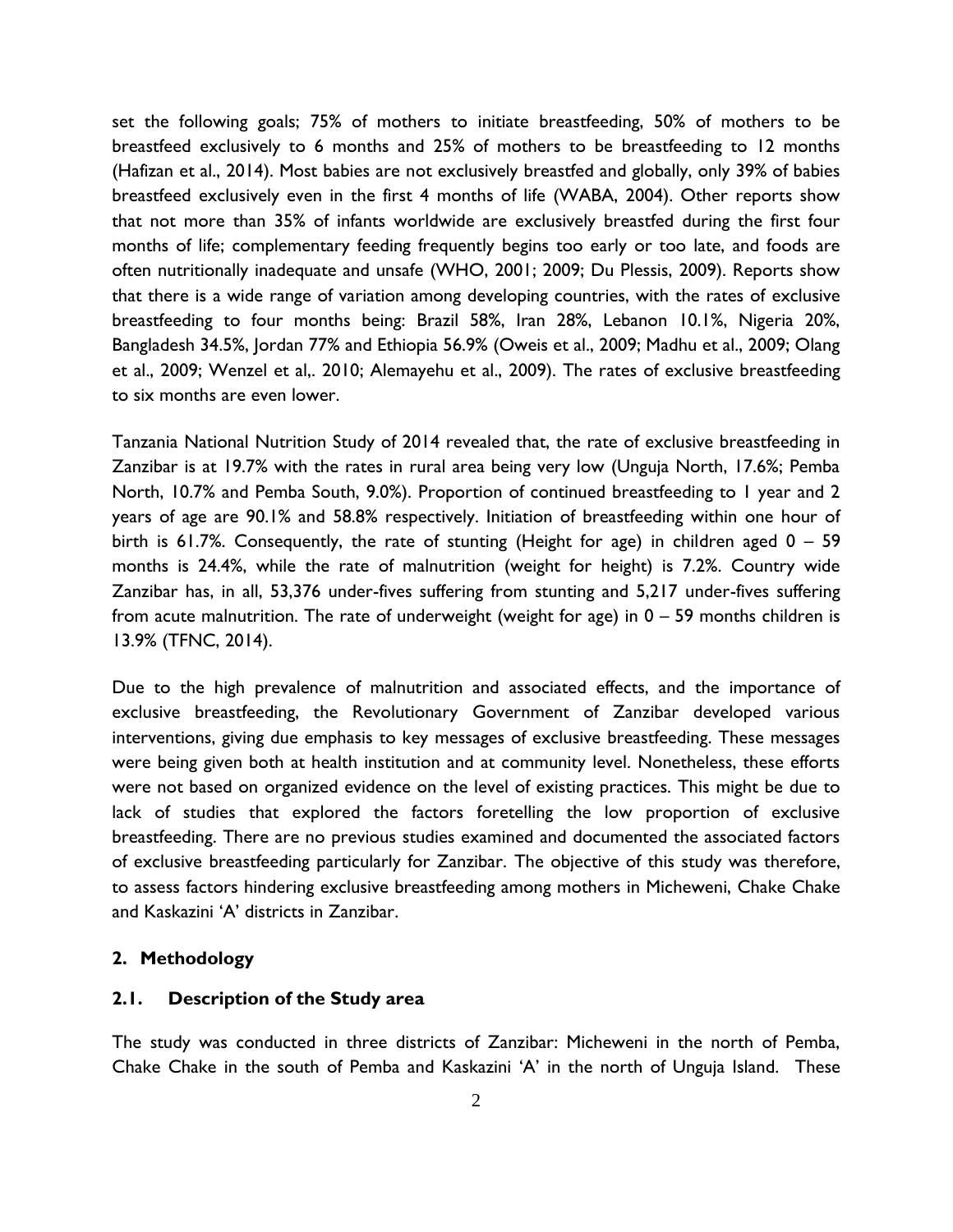set the following goals; 75% of mothers to initiate breastfeeding, 50% of mothers to be breastfeed exclusively to 6 months and 25% of mothers to be breastfeeding to 12 months (Hafizan et al., 2014). Most babies are not exclusively breastfed and globally, only 39% of babies breastfeed exclusively even in the first 4 months of life (WABA, 2004). Other reports show that not more than 35% of infants worldwide are exclusively breastfed during the first four months of life; complementary feeding frequently begins too early or too late, and foods are often nutritionally inadequate and unsafe (WHO, 2001; 2009; Du Plessis, 2009). Reports show that there is a wide range of variation among developing countries, with the rates of exclusive breastfeeding to four months being: Brazil 58%, Iran 28%, Lebanon 10.1%, Nigeria 20%, Bangladesh 34.5%, Jordan 77% and Ethiopia 56.9% (Oweis et al., 2009; Madhu et al., 2009; Olang et al., 2009; Wenzel et al,. 2010; Alemayehu et al., 2009). The rates of exclusive breastfeeding to six months are even lower.

Tanzania National Nutrition Study of 2014 revealed that, the rate of exclusive breastfeeding in Zanzibar is at 19.7% with the rates in rural area being very low (Unguja North, 17.6%; Pemba North, 10.7% and Pemba South, 9.0%). Proportion of continued breastfeeding to 1 year and 2 years of age are 90.1% and 58.8% respectively. Initiation of breastfeeding within one hour of birth is 61.7%. Consequently, the rate of stunting (Height for age) in children aged 0 – 59 months is 24.4%, while the rate of malnutrition (weight for height) is 7.2%. Country wide Zanzibar has, in all, 53,376 under-fives suffering from stunting and 5,217 under-fives suffering from acute malnutrition. The rate of underweight (weight for age) in  $0 - 59$  months children is 13.9% (TFNC, 2014).

Due to the high prevalence of malnutrition and associated effects, and the importance of exclusive breastfeeding, the Revolutionary Government of Zanzibar developed various interventions, giving due emphasis to key messages of exclusive breastfeeding. These messages were being given both at health institution and at community level. Nonetheless, these efforts were not based on organized evidence on the level of existing practices. This might be due to lack of studies that explored the factors foretelling the low proportion of exclusive breastfeeding. There are no previous studies examined and documented the associated factors of exclusive breastfeeding particularly for Zanzibar. The objective of this study was therefore, to assess factors hindering exclusive breastfeeding among mothers in Micheweni, Chake Chake and Kaskazini 'A' districts in Zanzibar.

## <span id="page-5-0"></span>**2. Methodology**

## <span id="page-5-1"></span>**2.1. Description of the Study area**

The study was conducted in three districts of Zanzibar: Micheweni in the north of Pemba, Chake Chake in the south of Pemba and Kaskazini 'A' in the north of Unguja Island. These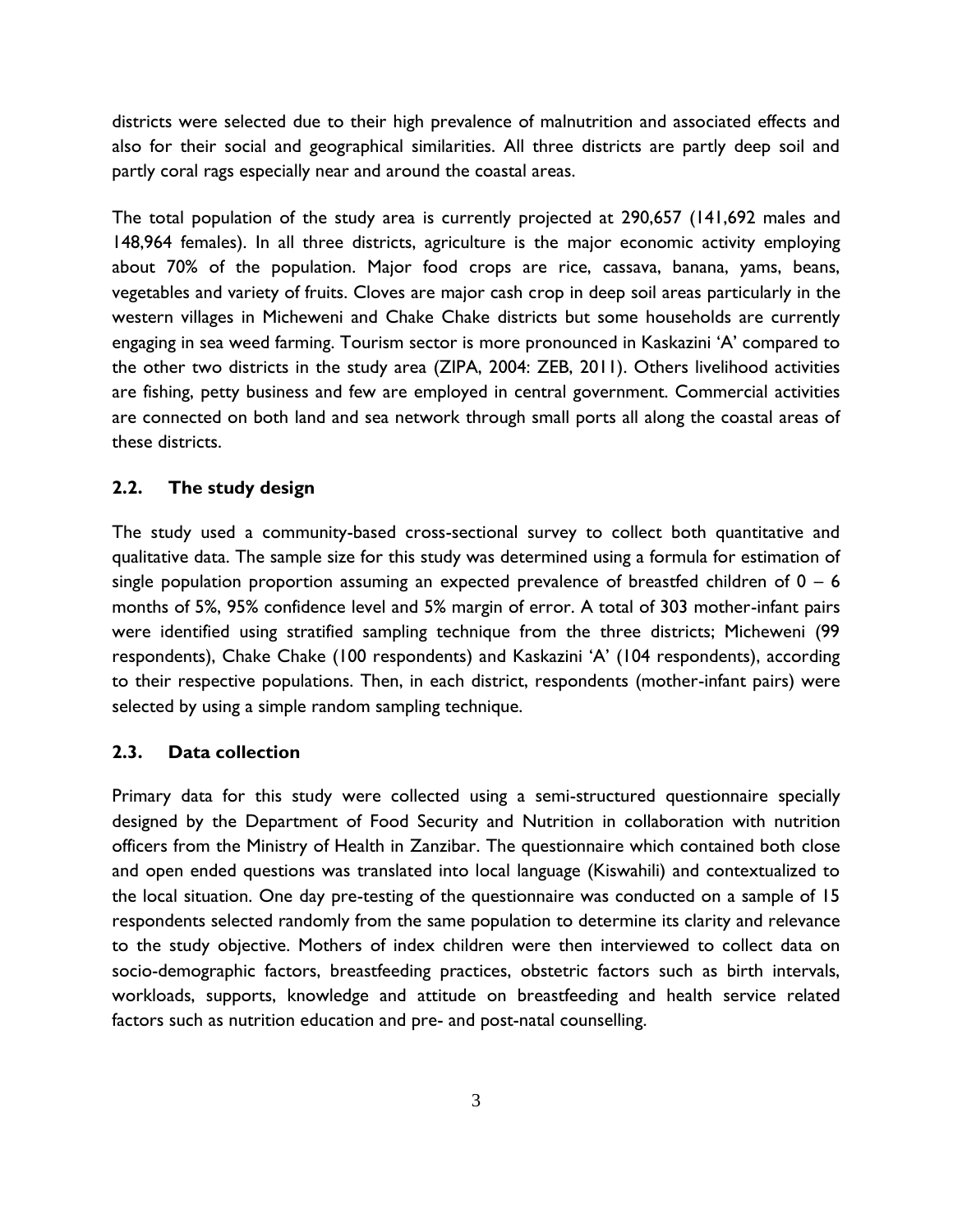districts were selected due to their high prevalence of malnutrition and associated effects and also for their social and geographical similarities. All three districts are partly deep soil and partly coral rags especially near and around the coastal areas.

The total population of the study area is currently projected at 290,657 (141,692 males and 148,964 females). In all three districts, agriculture is the major economic activity employing about 70% of the population. Major food crops are rice, cassava, banana, yams, beans, vegetables and variety of fruits. Cloves are major cash crop in deep soil areas particularly in the western villages in Micheweni and Chake Chake districts but some households are currently engaging in sea weed farming. Tourism sector is more pronounced in Kaskazini 'A' compared to the other two districts in the study area (ZIPA, 2004: ZEB, 2011). Others livelihood activities are fishing, petty business and few are employed in central government. Commercial activities are connected on both land and sea network through small ports all along the coastal areas of these districts.

## <span id="page-6-0"></span>**2.2. The study design**

The study used a community-based cross-sectional survey to collect both quantitative and qualitative data. The sample size for this study was determined using a formula for estimation of single population proportion assuming an expected prevalence of breastfed children of  $0 - 6$ months of 5%, 95% confidence level and 5% margin of error. A total of 303 mother-infant pairs were identified using stratified sampling technique from the three districts; Micheweni (99 respondents), Chake Chake (100 respondents) and Kaskazini 'A' (104 respondents), according to their respective populations. Then, in each district, respondents (mother-infant pairs) were selected by using a simple random sampling technique.

## <span id="page-6-1"></span>**2.3. Data collection**

Primary data for this study were collected using a semi-structured questionnaire specially designed by the Department of Food Security and Nutrition in collaboration with nutrition officers from the Ministry of Health in Zanzibar. The questionnaire which contained both close and open ended questions was translated into local language (Kiswahili) and contextualized to the local situation. One day pre-testing of the questionnaire was conducted on a sample of 15 respondents selected randomly from the same population to determine its clarity and relevance to the study objective. Mothers of index children were then interviewed to collect data on socio-demographic factors, breastfeeding practices, obstetric factors such as birth intervals, workloads, supports, knowledge and attitude on breastfeeding and health service related factors such as nutrition education and pre- and post-natal counselling.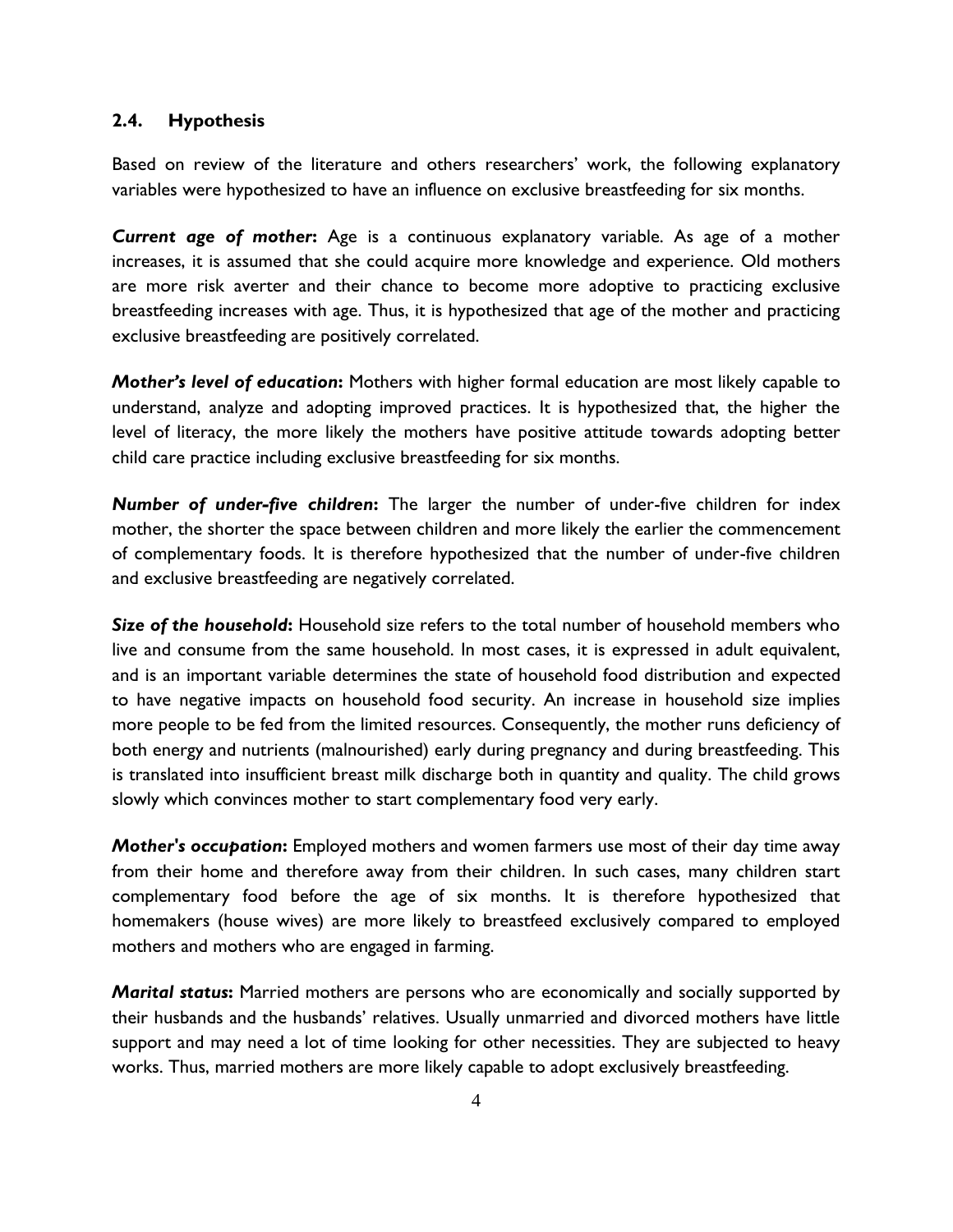#### <span id="page-7-0"></span>**2.4. Hypothesis**

Based on review of the literature and others researchers' work, the following explanatory variables were hypothesized to have an influence on exclusive breastfeeding for six months.

*Current age of mother***:** Age is a continuous explanatory variable. As age of a mother increases, it is assumed that she could acquire more knowledge and experience. Old mothers are more risk averter and their chance to become more adoptive to practicing exclusive breastfeeding increases with age. Thus, it is hypothesized that age of the mother and practicing exclusive breastfeeding are positively correlated.

*Mother's level of education***:** Mothers with higher formal education are most likely capable to understand, analyze and adopting improved practices. It is hypothesized that, the higher the level of literacy, the more likely the mothers have positive attitude towards adopting better child care practice including exclusive breastfeeding for six months.

*Number of under-five children***:** The larger the number of under-five children for index mother, the shorter the space between children and more likely the earlier the commencement of complementary foods. It is therefore hypothesized that the number of under-five children and exclusive breastfeeding are negatively correlated.

*Size of the household***:** Household size refers to the total number of household members who live and consume from the same household. In most cases, it is expressed in adult equivalent, and is an important variable determines the state of household food distribution and expected to have negative impacts on household food security. An increase in household size implies more people to be fed from the limited resources. Consequently, the mother runs deficiency of both energy and nutrients (malnourished) early during pregnancy and during breastfeeding. This is translated into insufficient breast milk discharge both in quantity and quality. The child grows slowly which convinces mother to start complementary food very early.

*Mother's occupation***:** Employed mothers and women farmers use most of their day time away from their home and therefore away from their children. In such cases, many children start complementary food before the age of six months. It is therefore hypothesized that homemakers (house wives) are more likely to breastfeed exclusively compared to employed mothers and mothers who are engaged in farming.

*Marital status***:** Married mothers are persons who are economically and socially supported by their husbands and the husbands' relatives. Usually unmarried and divorced mothers have little support and may need a lot of time looking for other necessities. They are subjected to heavy works. Thus, married mothers are more likely capable to adopt exclusively breastfeeding.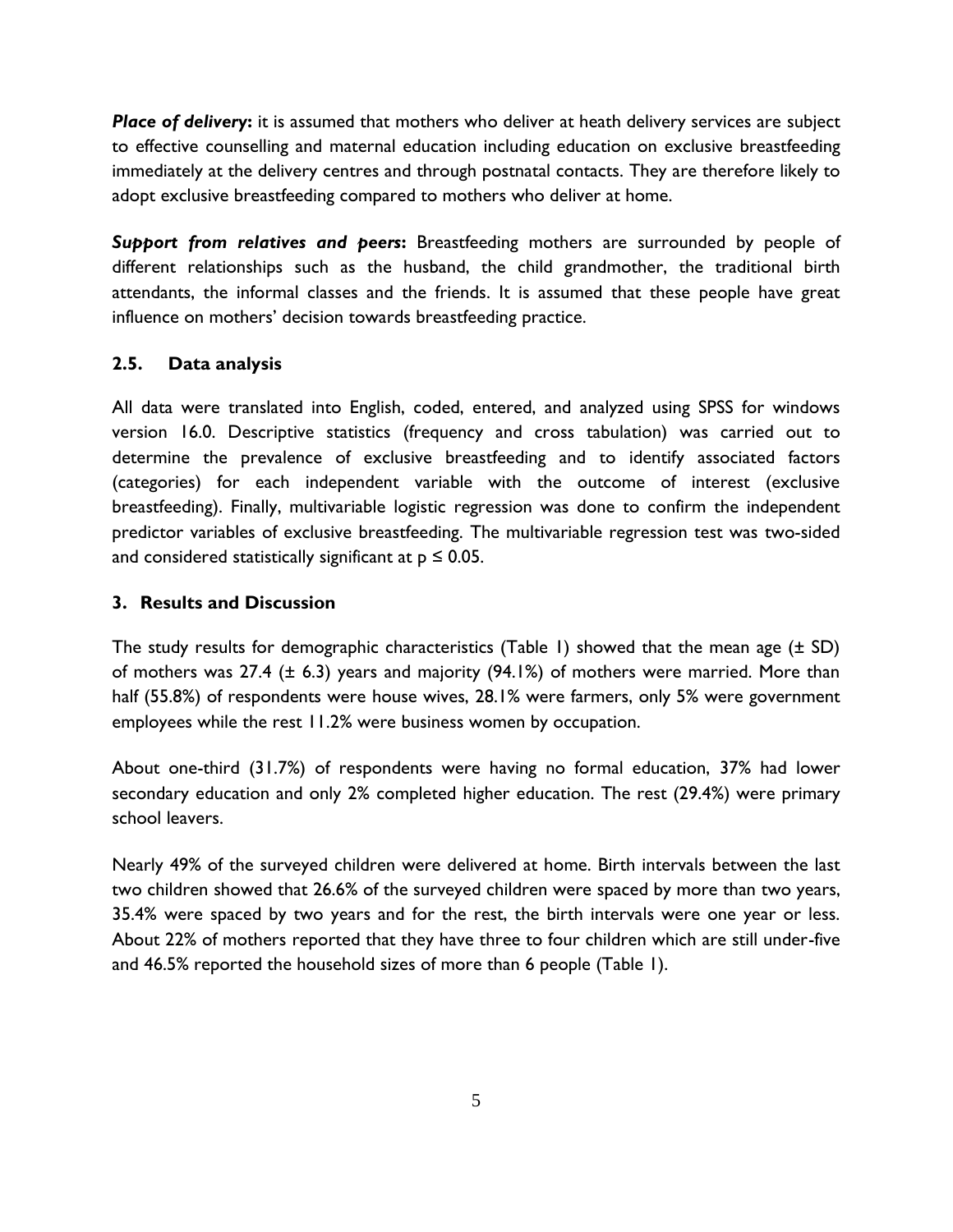*Place of delivery***:** it is assumed that mothers who deliver at heath delivery services are subject to effective counselling and maternal education including education on exclusive breastfeeding immediately at the delivery centres and through postnatal contacts. They are therefore likely to adopt exclusive breastfeeding compared to mothers who deliver at home.

*Support from relatives and peers***:** Breastfeeding mothers are surrounded by people of different relationships such as the husband, the child grandmother, the traditional birth attendants, the informal classes and the friends. It is assumed that these people have great influence on mothers' decision towards breastfeeding practice.

## <span id="page-8-0"></span>**2.5. Data analysis**

All data were translated into English, coded, entered, and analyzed using SPSS for windows version 16.0. Descriptive statistics (frequency and cross tabulation) was carried out to determine the prevalence of exclusive breastfeeding and to identify associated factors (categories) for each independent variable with the outcome of interest (exclusive breastfeeding). Finally, multivariable logistic regression was done to confirm the independent predictor variables of exclusive breastfeeding. The multivariable regression test was two-sided and considered statistically significant at  $p \le 0.05$ .

## <span id="page-8-1"></span>**3. Results and Discussion**

The study results for demographic characteristics (Table 1) showed that the mean age  $(\pm SD)$ of mothers was 27.4 (± 6.3) years and majority (94.1%) of mothers were married. More than half (55.8%) of respondents were house wives, 28.1% were farmers, only 5% were government employees while the rest 11.2% were business women by occupation.

About one-third (31.7%) of respondents were having no formal education, 37% had lower secondary education and only 2% completed higher education. The rest (29.4%) were primary school leavers.

Nearly 49% of the surveyed children were delivered at home. Birth intervals between the last two children showed that 26.6% of the surveyed children were spaced by more than two years, 35.4% were spaced by two years and for the rest, the birth intervals were one year or less. About 22% of mothers reported that they have three to four children which are still under-five and 46.5% reported the household sizes of more than 6 people (Table 1).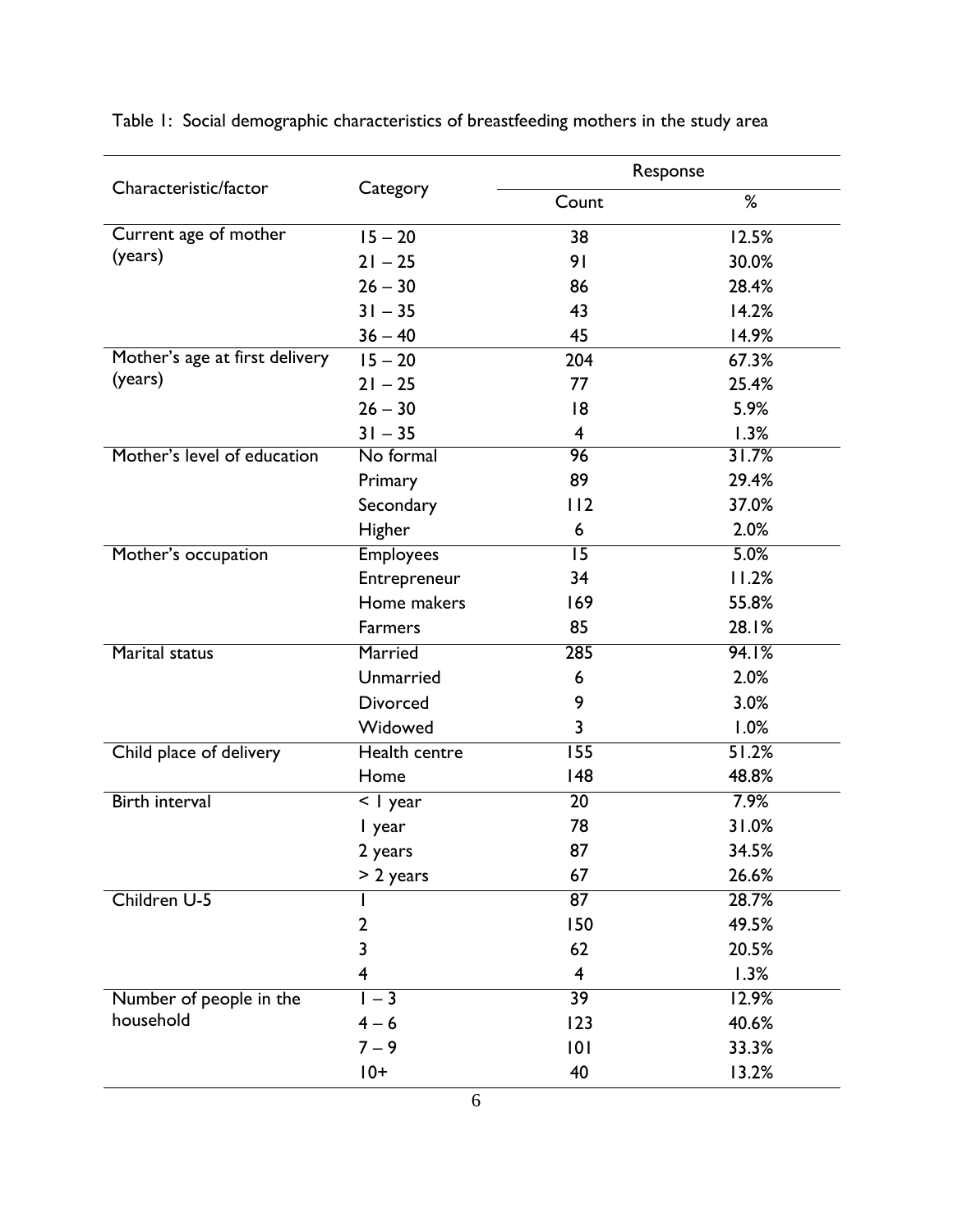|                                |                  | Response                |       |  |  |
|--------------------------------|------------------|-------------------------|-------|--|--|
| Characteristic/factor          | Category         | Count                   | %     |  |  |
| Current age of mother          | $15 - 20$        | 38                      | 12.5% |  |  |
| (years)                        | $21 - 25$        | 91                      | 30.0% |  |  |
|                                | $26 - 30$        | 86                      | 28.4% |  |  |
|                                | $31 - 35$        | 43                      | 14.2% |  |  |
|                                | $36 - 40$        | 45                      | 14.9% |  |  |
| Mother's age at first delivery | $15 - 20$        | 204                     | 67.3% |  |  |
| (years)                        | $21 - 25$        | 77                      | 25.4% |  |  |
|                                | $26 - 30$        | 8                       | 5.9%  |  |  |
|                                | $31 - 35$        | $\overline{\mathbf{4}}$ | 1.3%  |  |  |
| Mother's level of education    | No formal        | 96                      | 31.7% |  |  |
|                                | Primary          | 89                      | 29.4% |  |  |
|                                | Secondary        | 112                     | 37.0% |  |  |
|                                | Higher           | 6                       | 2.0%  |  |  |
| Mother's occupation            | <b>Employees</b> | $\overline{15}$         | 5.0%  |  |  |
|                                | Entrepreneur     | 34                      | 11.2% |  |  |
|                                | Home makers      | 169                     | 55.8% |  |  |
|                                | Farmers          | 85                      | 28.1% |  |  |
| <b>Marital status</b>          | Married          | 285                     | 94.1% |  |  |
|                                | Unmarried        | 6                       | 2.0%  |  |  |
|                                | <b>Divorced</b>  | 9                       | 3.0%  |  |  |
|                                | Widowed          | 3                       | 1.0%  |  |  |
| Child place of delivery        | Health centre    | $\overline{155}$        | 51.2% |  |  |
|                                | Home             | 148                     | 48.8% |  |  |
| <b>Birth interval</b>          | <   year         | $\overline{20}$         | 7.9%  |  |  |
|                                | I year           | 78                      | 31.0% |  |  |
|                                | 2 years          | 87                      | 34.5% |  |  |
|                                | $> 2$ years      | 67                      | 26.6% |  |  |
| Children U-5                   |                  | 87                      | 28.7% |  |  |
|                                | 2                | 150                     | 49.5% |  |  |
|                                | 3                | 62                      | 20.5% |  |  |
|                                | 4                | $\overline{\mathbf{4}}$ | 1.3%  |  |  |
| Number of people in the        | $1 - 3$          | $\overline{39}$         | 12.9% |  |  |
| household                      | $4 - 6$          | 123                     | 40.6% |  |  |
|                                | $7 - 9$          | 101                     | 33.3% |  |  |
|                                | $10+$            | 40                      | 13.2% |  |  |

<span id="page-9-0"></span>Table 1: Social demographic characteristics of breastfeeding mothers in the study area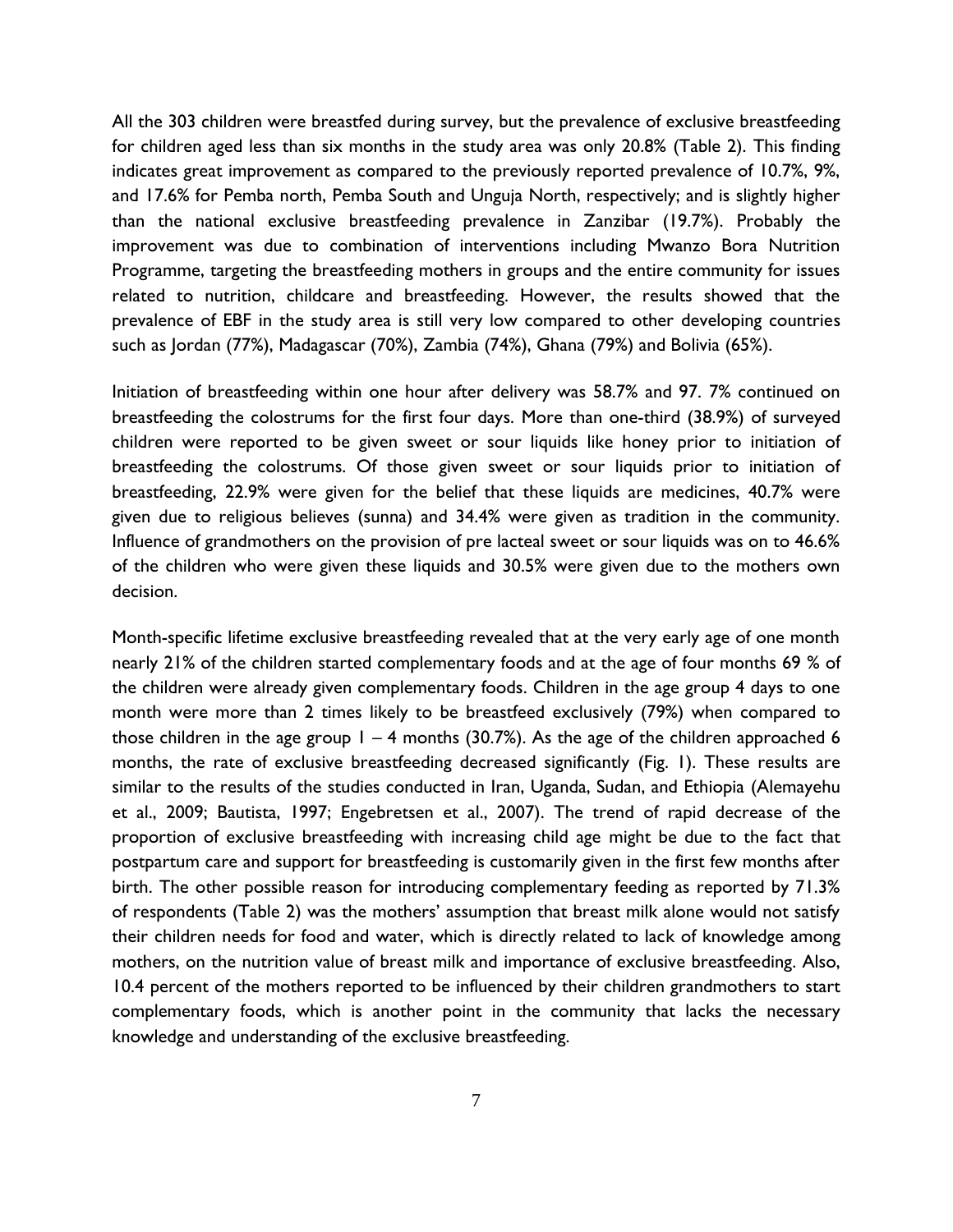All the 303 children were breastfed during survey, but the prevalence of exclusive breastfeeding for children aged less than six months in the study area was only 20.8% (Table 2). This finding indicates great improvement as compared to the previously reported prevalence of 10.7%, 9%, and 17.6% for Pemba north, Pemba South and Unguja North, respectively; and is slightly higher than the national exclusive breastfeeding prevalence in Zanzibar (19.7%). Probably the improvement was due to combination of interventions including Mwanzo Bora Nutrition Programme, targeting the breastfeeding mothers in groups and the entire community for issues related to nutrition, childcare and breastfeeding. However, the results showed that the prevalence of EBF in the study area is still very low compared to other developing countries such as Jordan (77%), Madagascar (70%), Zambia (74%), Ghana (79%) and Bolivia (65%).

Initiation of breastfeeding within one hour after delivery was 58.7% and 97. 7% continued on breastfeeding the colostrums for the first four days. More than one-third (38.9%) of surveyed children were reported to be given sweet or sour liquids like honey prior to initiation of breastfeeding the colostrums. Of those given sweet or sour liquids prior to initiation of breastfeeding, 22.9% were given for the belief that these liquids are medicines, 40.7% were given due to religious believes (sunna) and 34.4% were given as tradition in the community. Influence of grandmothers on the provision of pre lacteal sweet or sour liquids was on to 46.6% of the children who were given these liquids and 30.5% were given due to the mothers own decision.

Month-specific lifetime exclusive breastfeeding revealed that at the very early age of one month nearly 21% of the children started complementary foods and at the age of four months 69 % of the children were already given complementary foods. Children in the age group 4 days to one month were more than 2 times likely to be breastfeed exclusively (79%) when compared to those children in the age group  $1 - 4$  months (30.7%). As the age of the children approached 6 months, the rate of exclusive breastfeeding decreased significantly (Fig. 1). These results are similar to the results of the studies conducted in Iran, Uganda, Sudan, and Ethiopia (Alemayehu et al., 2009; Bautista, 1997; Engebretsen et al., 2007). The trend of rapid decrease of the proportion of exclusive breastfeeding with increasing child age might be due to the fact that postpartum care and support for breastfeeding is customarily given in the first few months after birth. The other possible reason for introducing complementary feeding as reported by 71.3% of respondents (Table 2) was the mothers' assumption that breast milk alone would not satisfy their children needs for food and water, which is directly related to lack of knowledge among mothers, on the nutrition value of breast milk and importance of exclusive breastfeeding. Also, 10.4 percent of the mothers reported to be influenced by their children grandmothers to start complementary foods, which is another point in the community that lacks the necessary knowledge and understanding of the exclusive breastfeeding.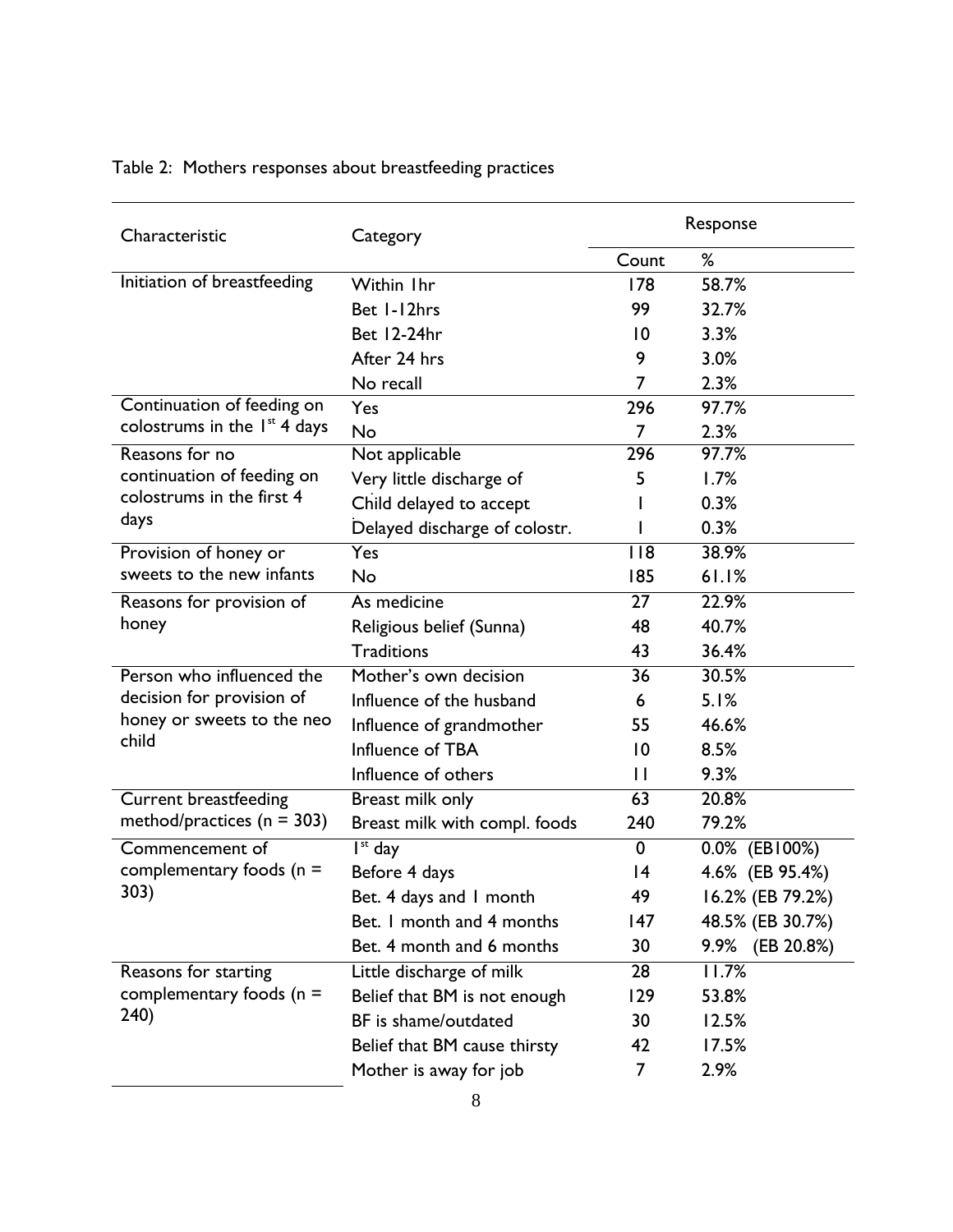| Characteristic                 | Category                      |                 | Response         |  |  |
|--------------------------------|-------------------------------|-----------------|------------------|--|--|
|                                |                               | Count           | ℅                |  |  |
| Initiation of breastfeeding    | Within Ihr                    | 178             | 58.7%            |  |  |
|                                | Bet 1-12hrs                   | 99              | 32.7%            |  |  |
|                                | Bet 12-24hr                   | $\overline{10}$ | 3.3%             |  |  |
|                                | After 24 hrs                  | 9               | 3.0%             |  |  |
|                                | No recall                     | 7               | 2.3%             |  |  |
| Continuation of feeding on     | Yes                           | 296             | 97.7%            |  |  |
| colostrums in the $Ist$ 4 days | No                            | 7               | 2.3%             |  |  |
| Reasons for no                 | Not applicable                | 296             | 97.7%            |  |  |
| continuation of feeding on     | Very little discharge of      | 5               | 1.7%             |  |  |
| colostrums in the first 4      | Child delayed to accept       |                 | 0.3%             |  |  |
| days                           | Delayed discharge of colostr. |                 | 0.3%             |  |  |
| Provision of honey or          | Yes                           | 118             | 38.9%            |  |  |
| sweets to the new infants      | No                            | 185             | 61.1%            |  |  |
| Reasons for provision of       | As medicine                   | $\overline{27}$ | 22.9%            |  |  |
| honey                          | Religious belief (Sunna)      | 48              | 40.7%            |  |  |
|                                | <b>Traditions</b>             | 43              | 36.4%            |  |  |
| Person who influenced the      | Mother's own decision         | $\overline{36}$ | 30.5%            |  |  |
| decision for provision of      | Influence of the husband      | 6               | 5.1%             |  |  |
| honey or sweets to the neo     | Influence of grandmother      | 55              | 46.6%            |  |  |
| child                          | Influence of TBA              | 10              | 8.5%             |  |  |
|                                | Influence of others           | $\mathbf{H}$    | 9.3%             |  |  |
| <b>Current breastfeeding</b>   | Breast milk only              | 63              | 20.8%            |  |  |
| method/practices ( $n = 303$ ) | Breast milk with compl. foods | 240             | 79.2%            |  |  |
| Commencement of                | $\overline{I^{st}}$ day       | $\mathbf 0$     | 0.0% (EB100%)    |  |  |
| complementary foods ( $n =$    | Before 4 days                 | 4               | 4.6% (EB 95.4%)  |  |  |
| 303)                           | Bet. 4 days and I month       | 49              | 16.2% (EB 79.2%) |  |  |
|                                | Bet. I month and 4 months     | 147             | 48.5% (EB 30.7%) |  |  |
|                                | Bet. 4 month and 6 months     | 30              | 9.9% (EB 20.8%)  |  |  |
| Reasons for starting           | Little discharge of milk      | 28              | 11.7%            |  |  |
| complementary foods ( $n =$    | Belief that BM is not enough  | 129             | 53.8%            |  |  |
| 240)                           | BF is shame/outdated          | 30              | 12.5%            |  |  |
|                                | Belief that BM cause thirsty  | 42              | 17.5%            |  |  |
|                                | Mother is away for job        | 7               | 2.9%             |  |  |

# <span id="page-11-0"></span>Table 2: Mothers responses about breastfeeding practices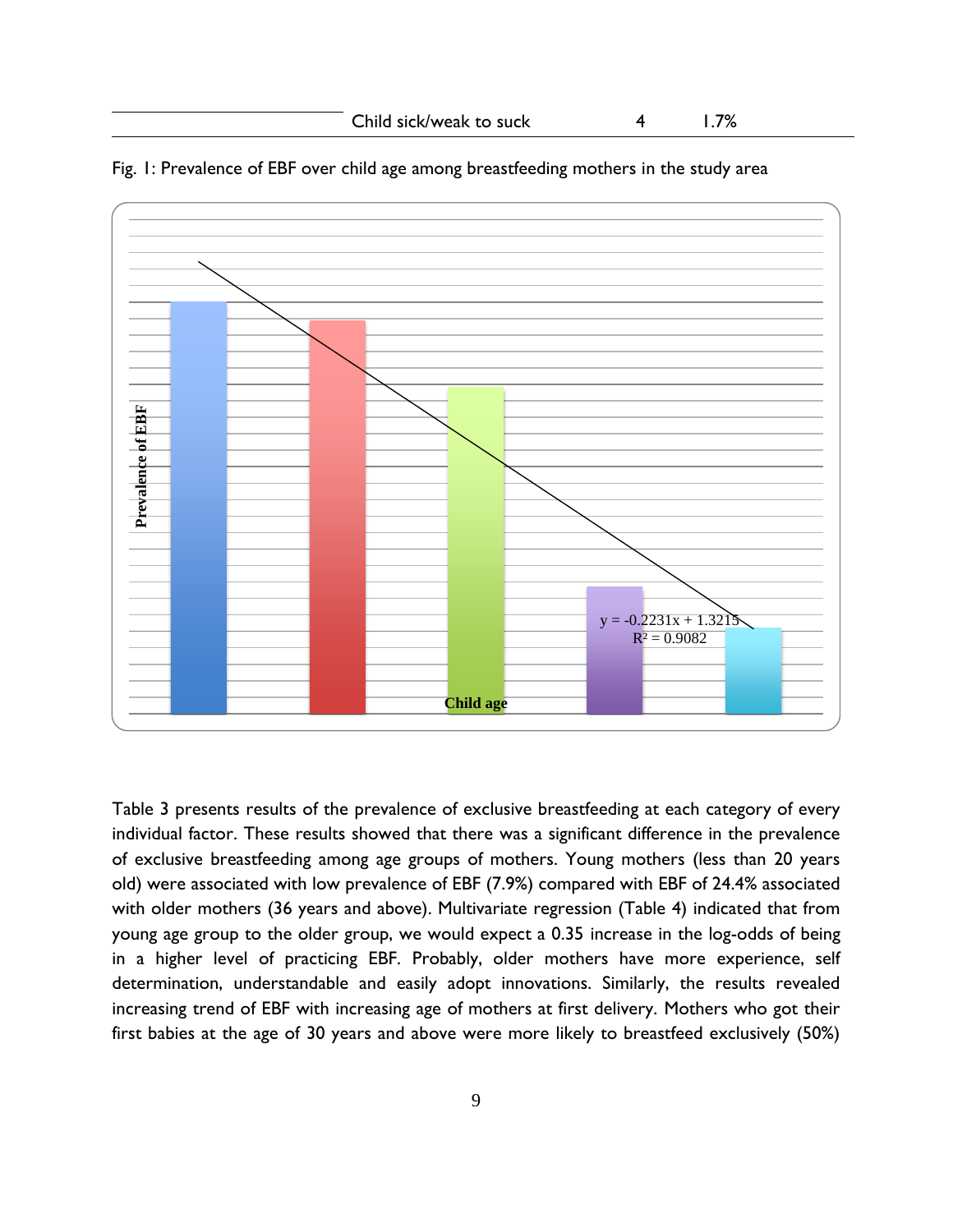

Fig. 1: Prevalence of EBF over child age among breastfeeding mothers in the study area

Table 3 presents results of the prevalence of exclusive breastfeeding at each category of every individual factor. These results showed that there was a significant difference in the prevalence of exclusive breastfeeding among age groups of mothers. Young mothers (less than 20 years old) were associated with low prevalence of EBF (7.9%) compared with EBF of 24.4% associated with older mothers (36 years and above). Multivariate regression (Table 4) indicated that from young age group to the older group, we would expect a 0.35 increase in the log-odds of being in a higher level of practicing EBF. Probably, older mothers have more experience, self determination, understandable and easily adopt innovations. Similarly, the results revealed increasing trend of EBF with increasing age of mothers at first delivery. Mothers who got their first babies at the age of 30 years and above were more likely to breastfeed exclusively (50%)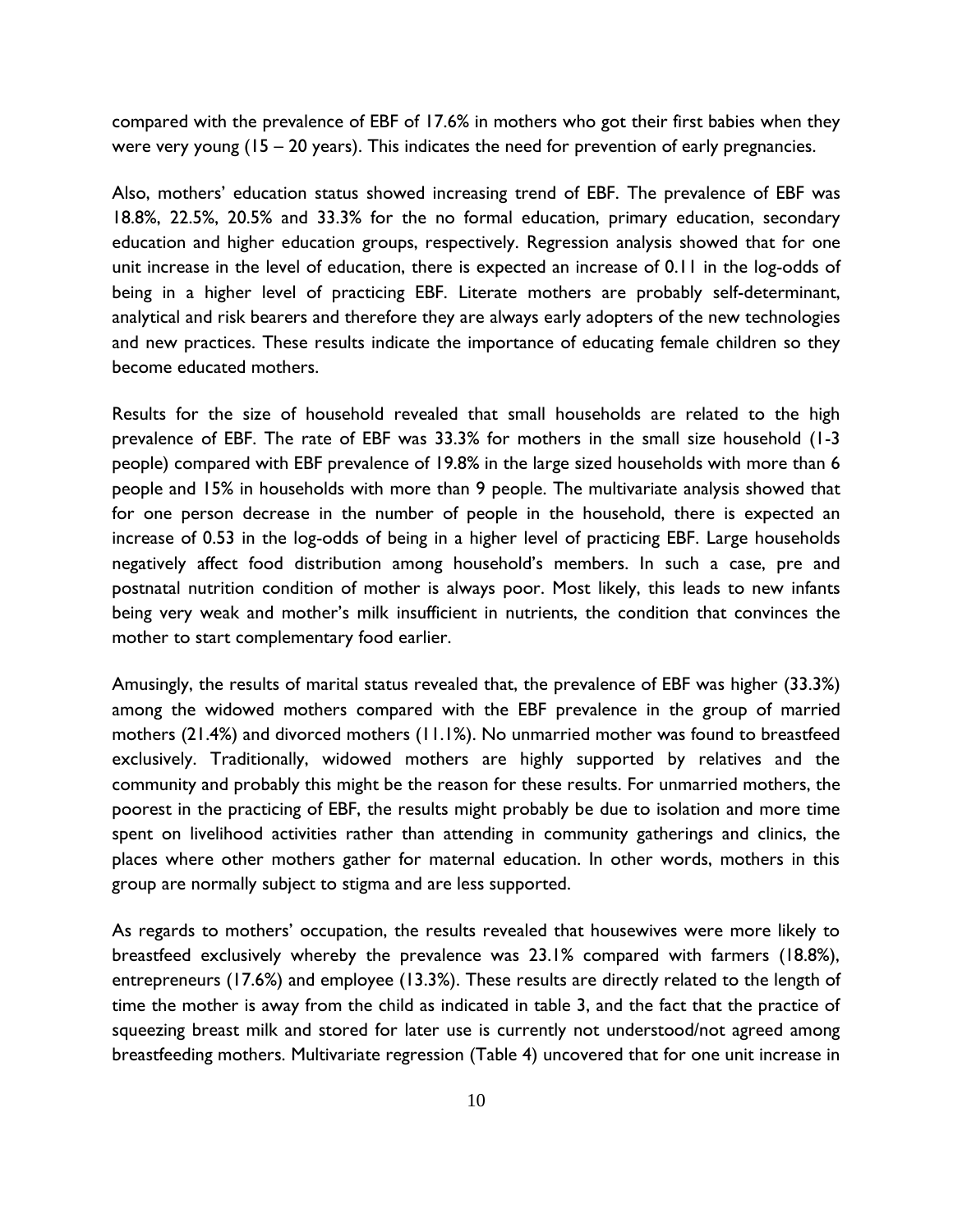compared with the prevalence of EBF of 17.6% in mothers who got their first babies when they were very young (15 – 20 years). This indicates the need for prevention of early pregnancies.

Also, mothers' education status showed increasing trend of EBF. The prevalence of EBF was 18.8%, 22.5%, 20.5% and 33.3% for the no formal education, primary education, secondary education and higher education groups, respectively. Regression analysis showed that for one unit increase in the level of education, there is expected an increase of 0.11 in the log-odds of being in a higher level of practicing EBF. Literate mothers are probably self-determinant, analytical and risk bearers and therefore they are always early adopters of the new technologies and new practices. These results indicate the importance of educating female children so they become educated mothers.

Results for the size of household revealed that small households are related to the high prevalence of EBF. The rate of EBF was 33.3% for mothers in the small size household (1-3 people) compared with EBF prevalence of 19.8% in the large sized households with more than 6 people and 15% in households with more than 9 people. The multivariate analysis showed that for one person decrease in the number of people in the household, there is expected an increase of 0.53 in the log-odds of being in a higher level of practicing EBF. Large households negatively affect food distribution among household's members. In such a case, pre and postnatal nutrition condition of mother is always poor. Most likely, this leads to new infants being very weak and mother's milk insufficient in nutrients, the condition that convinces the mother to start complementary food earlier.

Amusingly, the results of marital status revealed that, the prevalence of EBF was higher (33.3%) among the widowed mothers compared with the EBF prevalence in the group of married mothers (21.4%) and divorced mothers (11.1%). No unmarried mother was found to breastfeed exclusively. Traditionally, widowed mothers are highly supported by relatives and the community and probably this might be the reason for these results. For unmarried mothers, the poorest in the practicing of EBF, the results might probably be due to isolation and more time spent on livelihood activities rather than attending in community gatherings and clinics, the places where other mothers gather for maternal education. In other words, mothers in this group are normally subject to stigma and are less supported.

As regards to mothers' occupation, the results revealed that housewives were more likely to breastfeed exclusively whereby the prevalence was 23.1% compared with farmers (18.8%), entrepreneurs (17.6%) and employee (13.3%). These results are directly related to the length of time the mother is away from the child as indicated in table 3, and the fact that the practice of squeezing breast milk and stored for later use is currently not understood/not agreed among breastfeeding mothers. Multivariate regression (Table 4) uncovered that for one unit increase in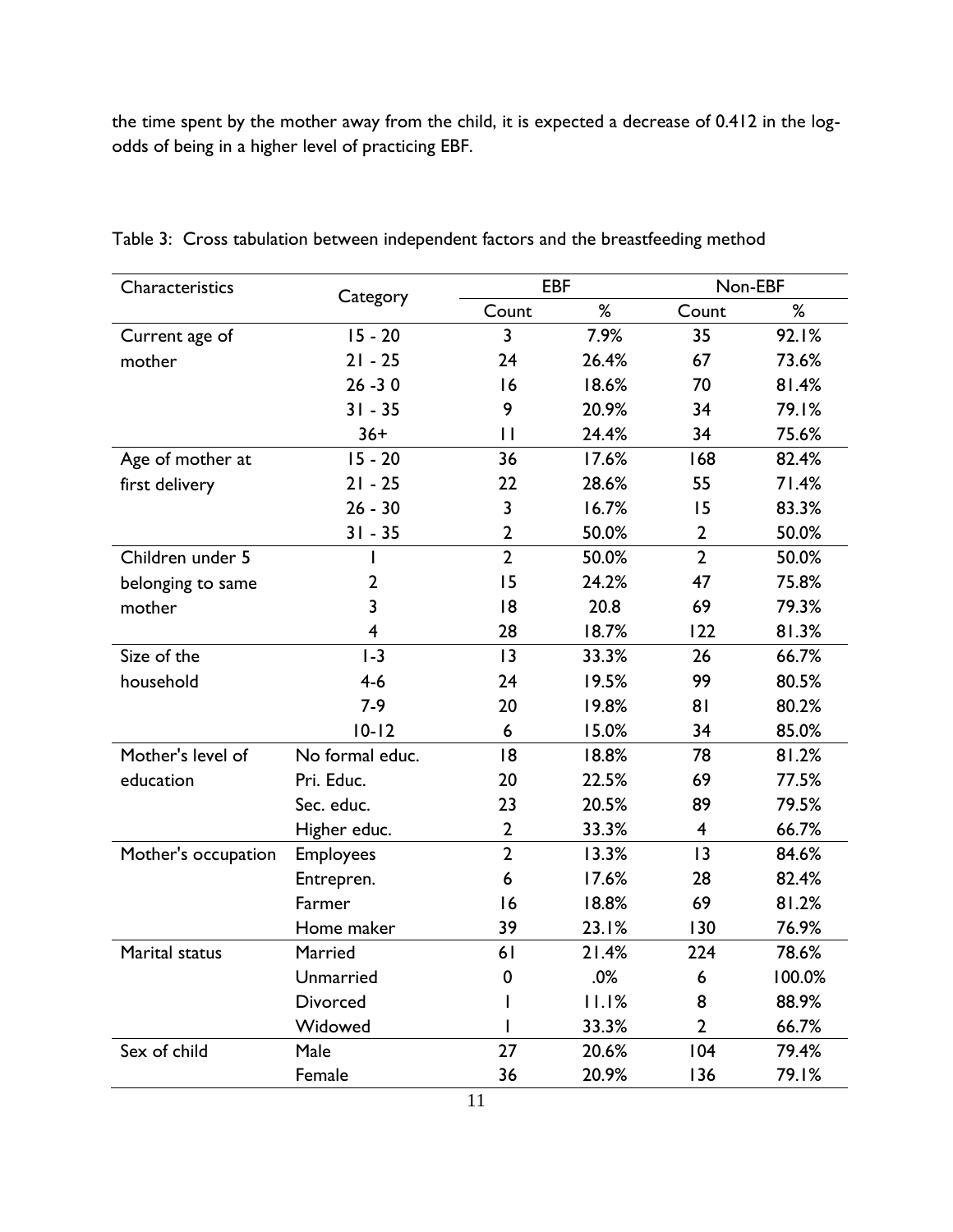the time spent by the mother away from the child, it is expected a decrease of 0.412 in the logodds of being in a higher level of practicing EBF.

| Characteristics     | Category                |                | <b>EBF</b> |                         | Non-EBF |  |  |
|---------------------|-------------------------|----------------|------------|-------------------------|---------|--|--|
|                     |                         | Count          | %          | Count                   | %       |  |  |
| Current age of      | $15 - 20$               | 3              | 7.9%       | 35                      | 92.1%   |  |  |
| mother              | $21 - 25$               | 24             | 26.4%      | 67                      | 73.6%   |  |  |
|                     | $26 - 30$               | 16             | 18.6%      | 70                      | 81.4%   |  |  |
|                     | $31 - 35$               | 9              | 20.9%      | 34                      | 79.1%   |  |  |
|                     | $36+$                   | $\mathbf{H}$   | 24.4%      | 34                      | 75.6%   |  |  |
| Age of mother at    | $15 - 20$               | 36             | 17.6%      | 168                     | 82.4%   |  |  |
| first delivery      | $21 - 25$               | 22             | 28.6%      | 55                      | 71.4%   |  |  |
|                     | $26 - 30$               | 3              | 16.7%      | 15                      | 83.3%   |  |  |
|                     | $31 - 35$               | $\mathbf 2$    | 50.0%      | $\mathbf{2}$            | 50.0%   |  |  |
| Children under 5    | ı                       | $\overline{2}$ | 50.0%      | $\overline{2}$          | 50.0%   |  |  |
| belonging to same   | 2                       | 15             | 24.2%      | 47                      | 75.8%   |  |  |
| mother              | 3                       | 18             | 20.8       | 69                      | 79.3%   |  |  |
|                     | $\overline{\mathbf{4}}$ | 28             | 18.7%      | 122                     | 81.3%   |  |  |
| Size of the         | $I - 3$                 | 3              | 33.3%      | 26                      | 66.7%   |  |  |
| household           | $4-6$                   | 24             | 19.5%      | 99                      | 80.5%   |  |  |
|                     | $7-9$                   | 20             | 19.8%      | 81                      | 80.2%   |  |  |
|                     | $10 - 12$               | 6              | 15.0%      | 34                      | 85.0%   |  |  |
| Mother's level of   | No formal educ.         | 18             | 18.8%      | 78                      | 81.2%   |  |  |
| education           | Pri. Educ.              | 20             | 22.5%      | 69                      | 77.5%   |  |  |
|                     | Sec. educ.              | 23             | 20.5%      | 89                      | 79.5%   |  |  |
|                     | Higher educ.            | $\mathbf 2$    | 33.3%      | $\overline{\mathbf{4}}$ | 66.7%   |  |  |
| Mother's occupation | <b>Employees</b>        | $\overline{2}$ | 13.3%      | 13                      | 84.6%   |  |  |
|                     | Entrepren.              | 6              | 17.6%      | 28                      | 82.4%   |  |  |
|                     | Farmer                  | 16             | 18.8%      | 69                      | 81.2%   |  |  |
|                     | Home maker              | 39             | 23.1%      | 130                     | 76.9%   |  |  |
| Marital status      | Married                 | 61             | 21.4%      | 224                     | 78.6%   |  |  |
|                     | Unmarried               | 0              | .0%        | 6                       | 100.0%  |  |  |
|                     | Divorced                |                | 11.1%      | 8                       | 88.9%   |  |  |
|                     | Widowed                 |                | 33.3%      | $\overline{2}$          | 66.7%   |  |  |
| Sex of child        | Male                    | 27             | 20.6%      | 104                     | 79.4%   |  |  |
|                     | Female                  | 36             | 20.9%      | 136                     | 79.1%   |  |  |

<span id="page-14-0"></span>Table 3: Cross tabulation between independent factors and the breastfeeding method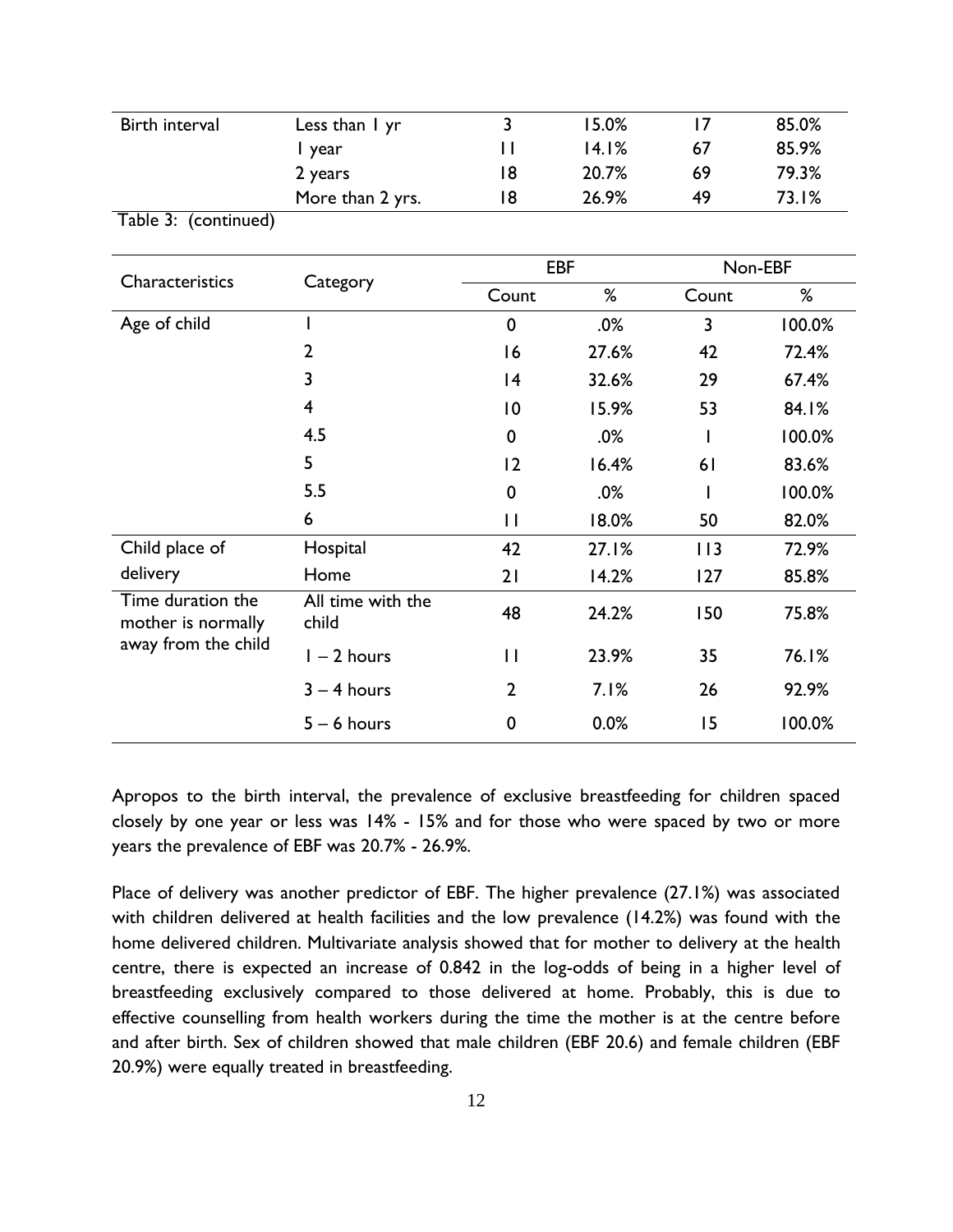| Birth interval | Less than I yr   |    | 15.0% |    | 85.0% |
|----------------|------------------|----|-------|----|-------|
|                | l year           |    | 14.1% | 67 | 85.9% |
|                | 2 years          | 18 | 20.7% | 69 | 79.3% |
|                | More than 2 yrs. | 18 | 26.9% | 49 | 73.1% |
| — II.          | $\mathbf{v}$     |    |       |    |       |

| Characteristics                                                | Category                   | <b>EBF</b>      |       | Non-EBF |        |  |
|----------------------------------------------------------------|----------------------------|-----------------|-------|---------|--------|--|
|                                                                |                            | Count           | %     | Count   | %      |  |
| Age of child                                                   |                            | $\mathbf 0$     | .0%   | 3       | 100.0% |  |
|                                                                | $\overline{2}$             | 16              | 27.6% | 42      | 72.4%  |  |
|                                                                | 3                          | 4               | 32.6% | 29      | 67.4%  |  |
|                                                                | 4                          | $\overline{10}$ | 15.9% | 53      | 84.1%  |  |
|                                                                | 4.5                        | 0               | .0%   |         | 100.0% |  |
|                                                                | 5                          | 2               | 16.4% | 61      | 83.6%  |  |
|                                                                | 5.5                        | 0               | .0%   |         | 100.0% |  |
|                                                                | 6                          | $\mathsf{I}$    | 18.0% | 50      | 82.0%  |  |
| Child place of                                                 | Hospital                   | 42              | 27.1% | 113     | 72.9%  |  |
| delivery                                                       | Home                       | 21              | 14.2% | 127     | 85.8%  |  |
| Time duration the<br>mother is normally<br>away from the child | All time with the<br>child | 48              | 24.2% | 150     | 75.8%  |  |
|                                                                | $1 - 2$ hours              | $\mathsf{L}$    | 23.9% | 35      | 76.1%  |  |
|                                                                | $3 - 4$ hours              | $\overline{2}$  | 7.1%  | 26      | 92.9%  |  |
|                                                                | $5 - 6$ hours              | 0               | 0.0%  | 15      | 100.0% |  |

Apropos to the birth interval, the prevalence of exclusive breastfeeding for children spaced closely by one year or less was 14% - 15% and for those who were spaced by two or more years the prevalence of EBF was 20.7% - 26.9%.

Place of delivery was another predictor of EBF. The higher prevalence (27.1%) was associated with children delivered at health facilities and the low prevalence (14.2%) was found with the home delivered children. Multivariate analysis showed that for mother to delivery at the health centre, there is expected an increase of 0.842 in the log-odds of being in a higher level of breastfeeding exclusively compared to those delivered at home. Probably, this is due to effective counselling from health workers during the time the mother is at the centre before and after birth. Sex of children showed that male children (EBF 20.6) and female children (EBF 20.9%) were equally treated in breastfeeding.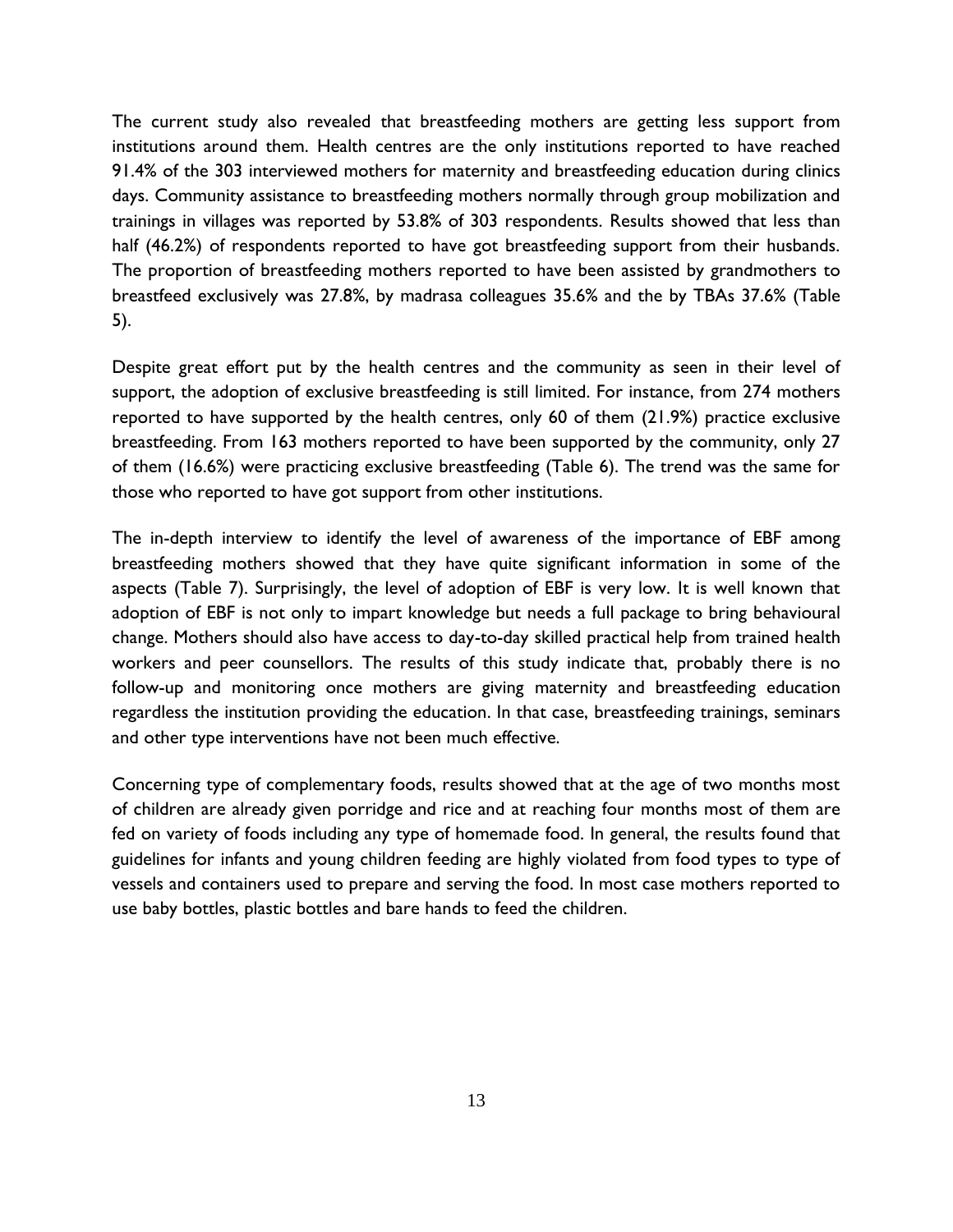The current study also revealed that breastfeeding mothers are getting less support from institutions around them. Health centres are the only institutions reported to have reached 91.4% of the 303 interviewed mothers for maternity and breastfeeding education during clinics days. Community assistance to breastfeeding mothers normally through group mobilization and trainings in villages was reported by 53.8% of 303 respondents. Results showed that less than half (46.2%) of respondents reported to have got breastfeeding support from their husbands. The proportion of breastfeeding mothers reported to have been assisted by grandmothers to breastfeed exclusively was 27.8%, by madrasa colleagues 35.6% and the by TBAs 37.6% (Table 5).

Despite great effort put by the health centres and the community as seen in their level of support, the adoption of exclusive breastfeeding is still limited. For instance, from 274 mothers reported to have supported by the health centres, only 60 of them (21.9%) practice exclusive breastfeeding. From 163 mothers reported to have been supported by the community, only 27 of them (16.6%) were practicing exclusive breastfeeding (Table 6). The trend was the same for those who reported to have got support from other institutions.

The in-depth interview to identify the level of awareness of the importance of EBF among breastfeeding mothers showed that they have quite significant information in some of the aspects (Table 7). Surprisingly, the level of adoption of EBF is very low. It is well known that adoption of EBF is not only to impart knowledge but needs a full package to bring behavioural change. Mothers should also have access to day-to-day skilled practical help from trained health workers and peer counsellors. The results of this study indicate that, probably there is no follow-up and monitoring once mothers are giving maternity and breastfeeding education regardless the institution providing the education. In that case, breastfeeding trainings, seminars and other type interventions have not been much effective.

Concerning type of complementary foods, results showed that at the age of two months most of children are already given porridge and rice and at reaching four months most of them are fed on variety of foods including any type of homemade food. In general, the results found that guidelines for infants and young children feeding are highly violated from food types to type of vessels and containers used to prepare and serving the food. In most case mothers reported to use baby bottles, plastic bottles and bare hands to feed the children.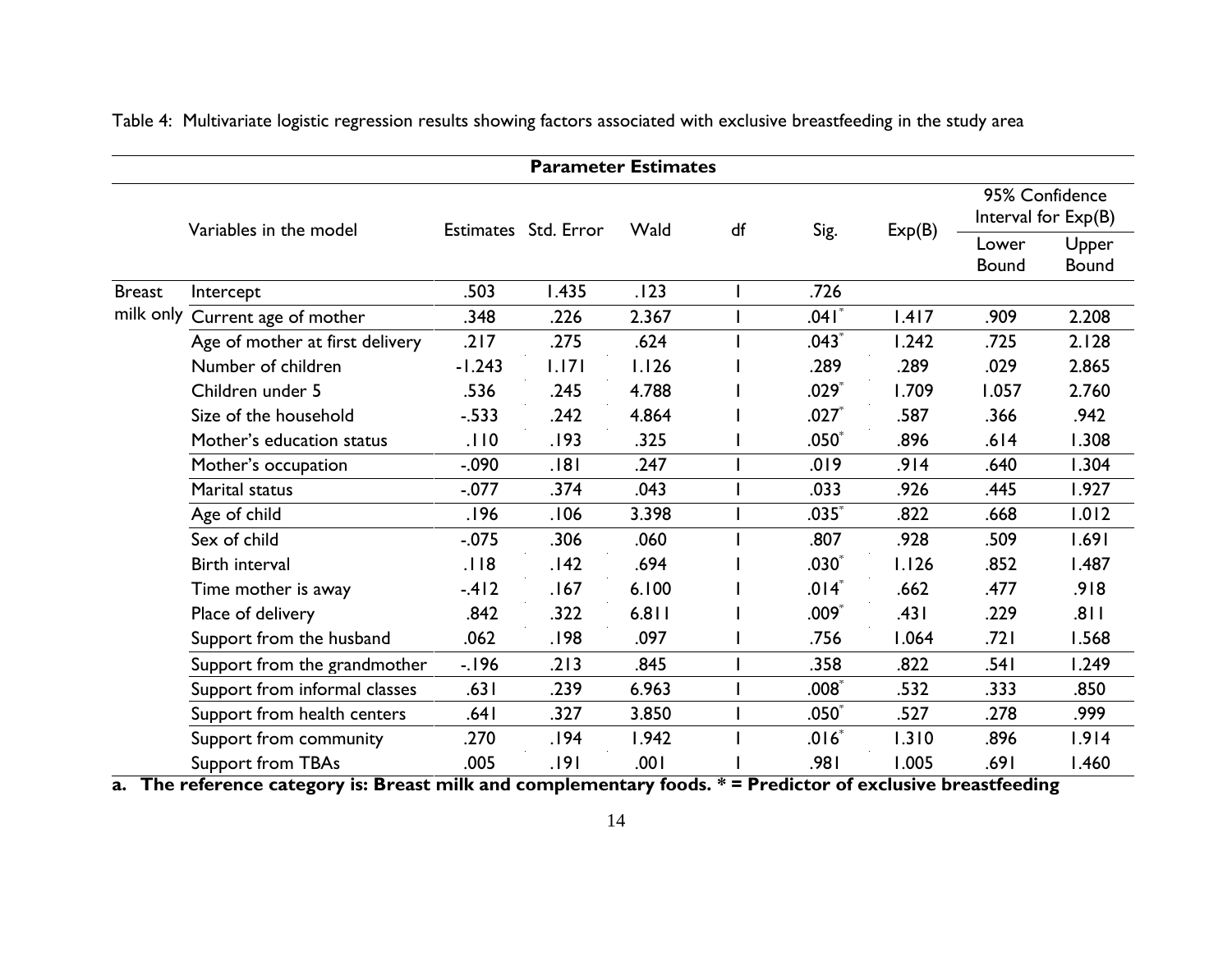Table 4: Multivariate logistic regression results showing factors associated with exclusive breastfeeding in the study area

# **Parameter Estimates**

<span id="page-17-0"></span>

|               | Variables in the model          |          | Estimates Std. Error | Wald  |  | df<br>Sig. |        | 95% Confidence<br>Interval for Exp(B) |                       |
|---------------|---------------------------------|----------|----------------------|-------|--|------------|--------|---------------------------------------|-----------------------|
|               |                                 |          |                      |       |  |            | Exp(B) | Lower<br><b>Bound</b>                 | Upper<br><b>Bound</b> |
| <b>Breast</b> | Intercept                       | .503     | 1.435                | .123  |  | .726       |        |                                       |                       |
| milk only     | Current age of mother           | .348     | .226                 | 2.367 |  | .041       | 1.417  | .909                                  | 2.208                 |
|               | Age of mother at first delivery | .217     | .275                 | .624  |  | $.043*$    | 1.242  | .725                                  | 2.128                 |
|               | Number of children              | $-1.243$ | 1.171                | 1.126 |  | .289       | .289   | .029                                  | 2.865                 |
|               | Children under 5                | .536     | .245                 | 4.788 |  | $.029*$    | 1.709  | 1.057                                 | 2.760                 |
|               | Size of the household           | $-0.533$ | .242                 | 4.864 |  | $.027*$    | .587   | .366                                  | .942                  |
|               | Mother's education status       | .110     | .193                 | .325  |  | $.050^*$   | .896   | .614                                  | 1.308                 |
|               | Mother's occupation             | $-.090$  | .181                 | .247  |  | .019       | .914   | .640                                  | 1.304                 |
|               | Marital status                  | $-0.077$ | .374                 | .043  |  | .033       | .926   | .445                                  | 1.927                 |
|               | Age of child                    | .196     | .106                 | 3.398 |  | $.035*$    | .822   | .668                                  | 1.012                 |
|               | Sex of child                    | $-0.075$ | .306                 | .060  |  | .807       | .928   | .509                                  | 1.691                 |
|               | Birth interval                  | .118     | .142                 | .694  |  | $.030*$    | 1.126  | .852                                  | 1.487                 |
|               | Time mother is away             | $-412$   | .167                 | 6.100 |  | $.014*$    | .662   | .477                                  | .918                  |
|               | Place of delivery               | .842     | .322                 | 6.811 |  | $.009*$    | .431   | .229                                  | 118.                  |
|               | Support from the husband        | .062     | .198                 | .097  |  | .756       | 1.064  | .721                                  | 1.568                 |
|               | Support from the grandmother    | $-196$   | .213                 | .845  |  | .358       | .822   | .541                                  | 1.249                 |
|               | Support from informal classes   | .631     | .239                 | 6.963 |  | .008       | .532   | .333                                  | .850                  |
|               | Support from health centers     | .641     | .327                 | 3.850 |  | $.050*$    | .527   | .278                                  | .999                  |
|               | Support from community          | .270     | .194                 | 1.942 |  | $.016*$    | 1.310  | .896                                  | 1.914                 |
|               | Support from TBAs               | .005     | .191                 | .001  |  | .981       | 1.005  | .691                                  | 1.460                 |

**a. The reference category is: Breast milk and complementary foods. \* = Predictor of exclusive breastfeeding**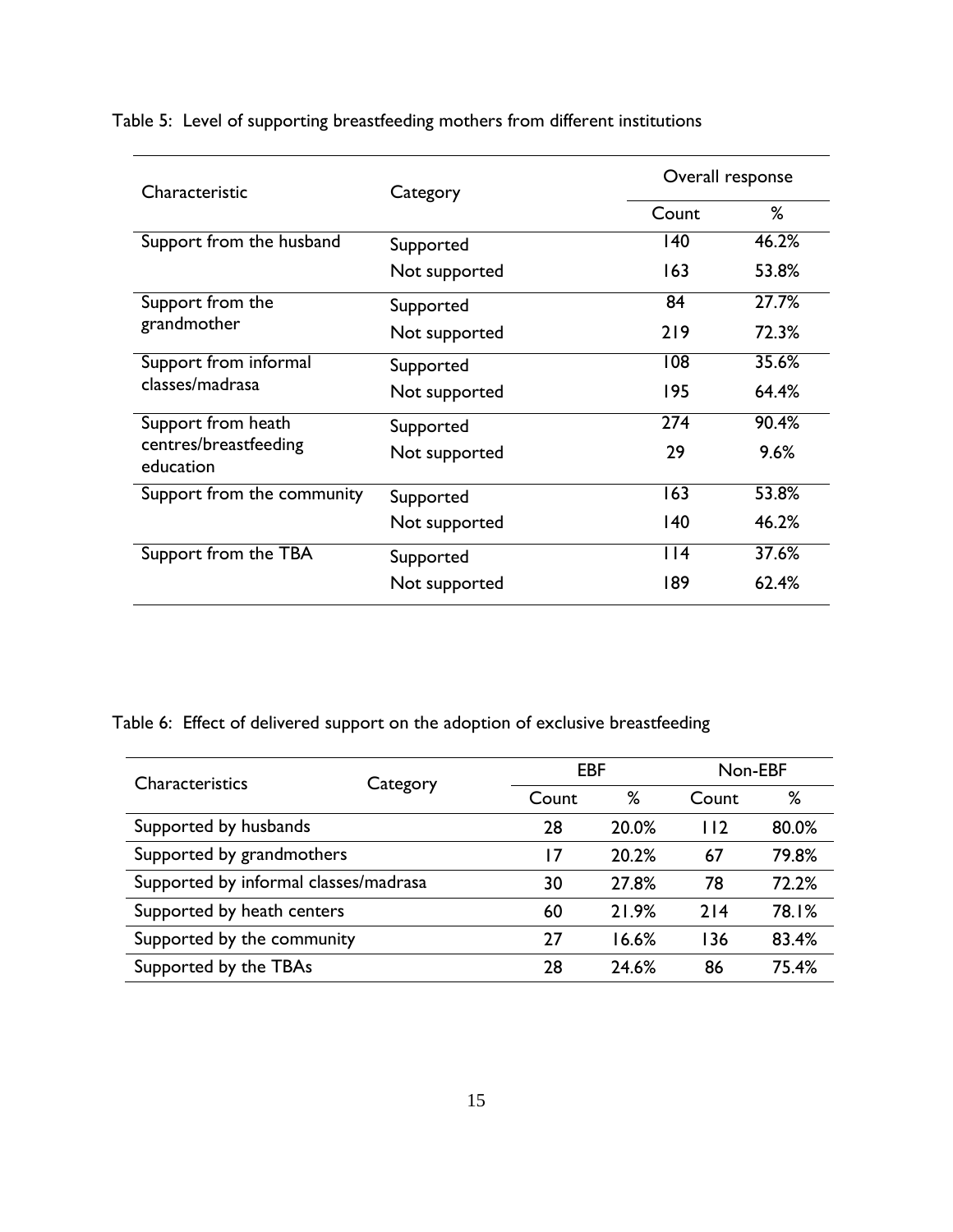| Characteristic                     | Category      |                  | Overall response |  |  |
|------------------------------------|---------------|------------------|------------------|--|--|
|                                    |               | Count            | %                |  |  |
| Support from the husband           | Supported     | 140              | 46.2%            |  |  |
|                                    | Not supported | 163              | 53.8%            |  |  |
| Support from the                   | Supported     | 84               | 27.7%            |  |  |
| grandmother                        | Not supported | 219              | 72.3%            |  |  |
| Support from informal              | Supported     | 108              | 35.6%            |  |  |
| classes/madrasa                    | Not supported | 195              | 64.4%            |  |  |
| Support from heath                 | Supported     | 274              | 90.4%            |  |  |
| centres/breastfeeding<br>education | Not supported | 29               | 9.6%             |  |  |
| Support from the community         | Supported     | $\overline{163}$ | 53.8%            |  |  |
|                                    | Not supported | 140              | 46.2%            |  |  |
| Support from the TBA               | Supported     | $ $  4           | 37.6%            |  |  |
|                                    | Not supported | 189              | 62.4%            |  |  |

<span id="page-18-0"></span>Table 5: Level of supporting breastfeeding mothers from different institutions

<span id="page-18-1"></span>Table 6: Effect of delivered support on the adoption of exclusive breastfeeding

| <b>Characteristics</b>                | Category | <b>EBF</b> |       | Non-EBF |       |
|---------------------------------------|----------|------------|-------|---------|-------|
|                                       |          | Count      | %     | Count   | %     |
| Supported by husbands                 |          | 28         | 20.0% | 112     | 80.0% |
| Supported by grandmothers             |          | 17         | 20.2% | 67      | 79.8% |
| Supported by informal classes/madrasa |          | 30         | 27.8% | 78      | 72.2% |
| Supported by heath centers            |          | 60         | 21.9% | 214     | 78.1% |
| Supported by the community            |          | 27         | 16.6% | 136     | 83.4% |
| Supported by the TBAs                 |          | 28         | 24.6% | 86      | 75.4% |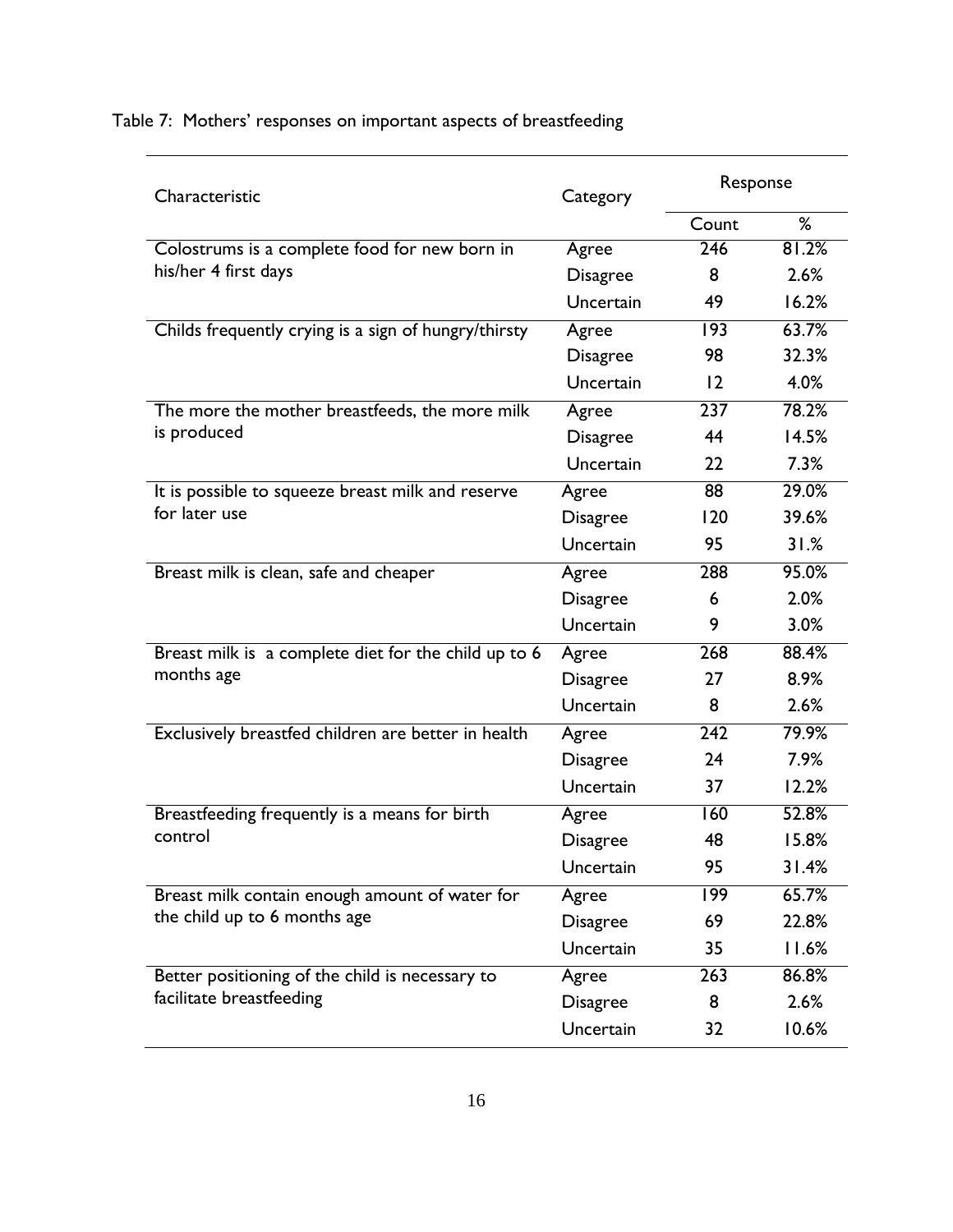| Characteristic                                                                 | Category        | Response         |       |
|--------------------------------------------------------------------------------|-----------------|------------------|-------|
|                                                                                |                 | Count            | %     |
| Colostrums is a complete food for new born in<br>his/her 4 first days          | Agree           | 246              | 81.2% |
|                                                                                | <b>Disagree</b> | 8                | 2.6%  |
|                                                                                | Uncertain       | 49               | 16.2% |
| Childs frequently crying is a sign of hungry/thirsty                           | Agree           | 193              | 63.7% |
|                                                                                | <b>Disagree</b> | 98               | 32.3% |
|                                                                                | Uncertain       | 12               | 4.0%  |
| The more the mother breastfeeds, the more milk                                 | Agree           | 237              | 78.2% |
| is produced                                                                    | <b>Disagree</b> | 44               | 14.5% |
|                                                                                | Uncertain       | 22               | 7.3%  |
| It is possible to squeeze breast milk and reserve                              | Agree           | 88               | 29.0% |
| for later use                                                                  | <b>Disagree</b> | 120              | 39.6% |
|                                                                                | Uncertain       | 95               | 31.%  |
| Breast milk is clean, safe and cheaper                                         | Agree           | 288              | 95.0% |
|                                                                                | <b>Disagree</b> | 6                | 2.0%  |
|                                                                                | Uncertain       | 9                | 3.0%  |
| Breast milk is a complete diet for the child up to 6<br>months age             | Agree           | 268              | 88.4% |
|                                                                                | <b>Disagree</b> | 27               | 8.9%  |
|                                                                                | Uncertain       | 8                | 2.6%  |
| Exclusively breastfed children are better in health                            | Agree           | 242              | 79.9% |
|                                                                                | <b>Disagree</b> | 24               | 7.9%  |
|                                                                                | Uncertain       | 37               | 12.2% |
| Breastfeeding frequently is a means for birth                                  | Agree           | 160              | 52.8% |
| control                                                                        | <b>Disagree</b> | 48               | 15.8% |
|                                                                                | Uncertain       | 95               | 31.4% |
| Breast milk contain enough amount of water for<br>the child up to 6 months age | Agree           | $\overline{199}$ | 65.7% |
|                                                                                | <b>Disagree</b> | 69               | 22.8% |
|                                                                                | Uncertain       | 35               | 11.6% |
| Better positioning of the child is necessary to<br>facilitate breastfeeding    | Agree           | 263              | 86.8% |
|                                                                                | <b>Disagree</b> | 8                | 2.6%  |
|                                                                                | Uncertain       | 32               | 10.6% |

# <span id="page-19-0"></span>Table 7: Mothers' responses on important aspects of breastfeeding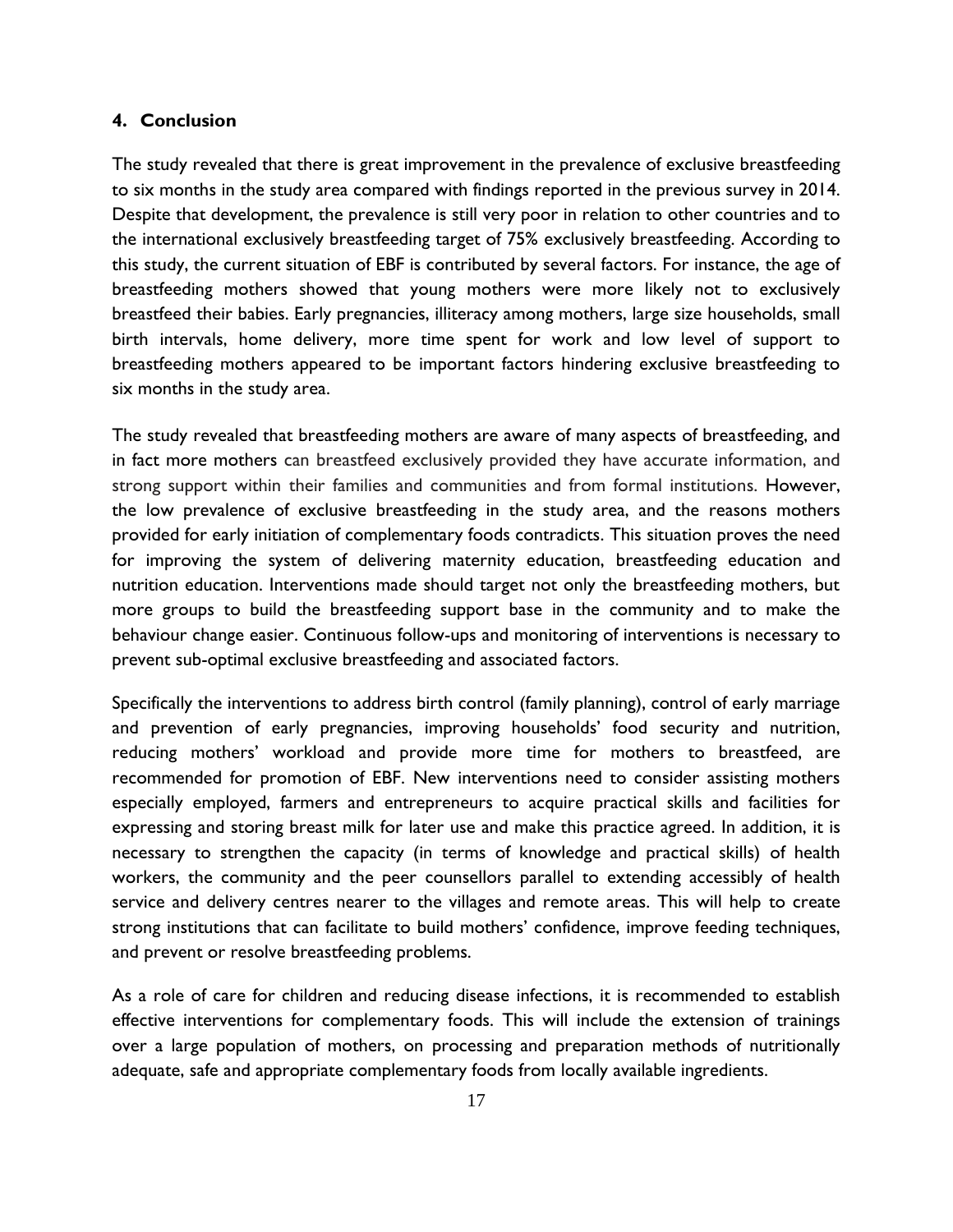#### <span id="page-20-0"></span>**4. Conclusion**

The study revealed that there is great improvement in the prevalence of exclusive breastfeeding to six months in the study area compared with findings reported in the previous survey in 2014. Despite that development, the prevalence is still very poor in relation to other countries and to the international exclusively breastfeeding target of 75% exclusively breastfeeding. According to this study, the current situation of EBF is contributed by several factors. For instance, the age of breastfeeding mothers showed that young mothers were more likely not to exclusively breastfeed their babies. Early pregnancies, illiteracy among mothers, large size households, small birth intervals, home delivery, more time spent for work and low level of support to breastfeeding mothers appeared to be important factors hindering exclusive breastfeeding to six months in the study area.

The study revealed that breastfeeding mothers are aware of many aspects of breastfeeding, and in fact more mothers can breastfeed exclusively provided they have accurate information, and strong support within their families and communities and from formal institutions. However, the low prevalence of exclusive breastfeeding in the study area, and the reasons mothers provided for early initiation of complementary foods contradicts. This situation proves the need for improving the system of delivering maternity education, breastfeeding education and nutrition education. Interventions made should target not only the breastfeeding mothers, but more groups to build the breastfeeding support base in the community and to make the behaviour change easier. Continuous follow-ups and monitoring of interventions is necessary to prevent sub-optimal exclusive breastfeeding and associated factors.

Specifically the interventions to address birth control (family planning), control of early marriage and prevention of early pregnancies, improving households' food security and nutrition, reducing mothers' workload and provide more time for mothers to breastfeed, are recommended for promotion of EBF. New interventions need to consider assisting mothers especially employed, farmers and entrepreneurs to acquire practical skills and facilities for expressing and storing breast milk for later use and make this practice agreed. In addition, it is necessary to strengthen the capacity (in terms of knowledge and practical skills) of health workers, the community and the peer counsellors parallel to extending accessibly of health service and delivery centres nearer to the villages and remote areas. This will help to create strong institutions that can facilitate to build mothers' confidence, improve feeding techniques, and prevent or resolve breastfeeding problems.

As a role of care for children and reducing disease infections, it is recommended to establish effective interventions for complementary foods. This will include the extension of trainings over a large population of mothers, on processing and preparation methods of nutritionally adequate, safe and appropriate complementary foods from locally available ingredients.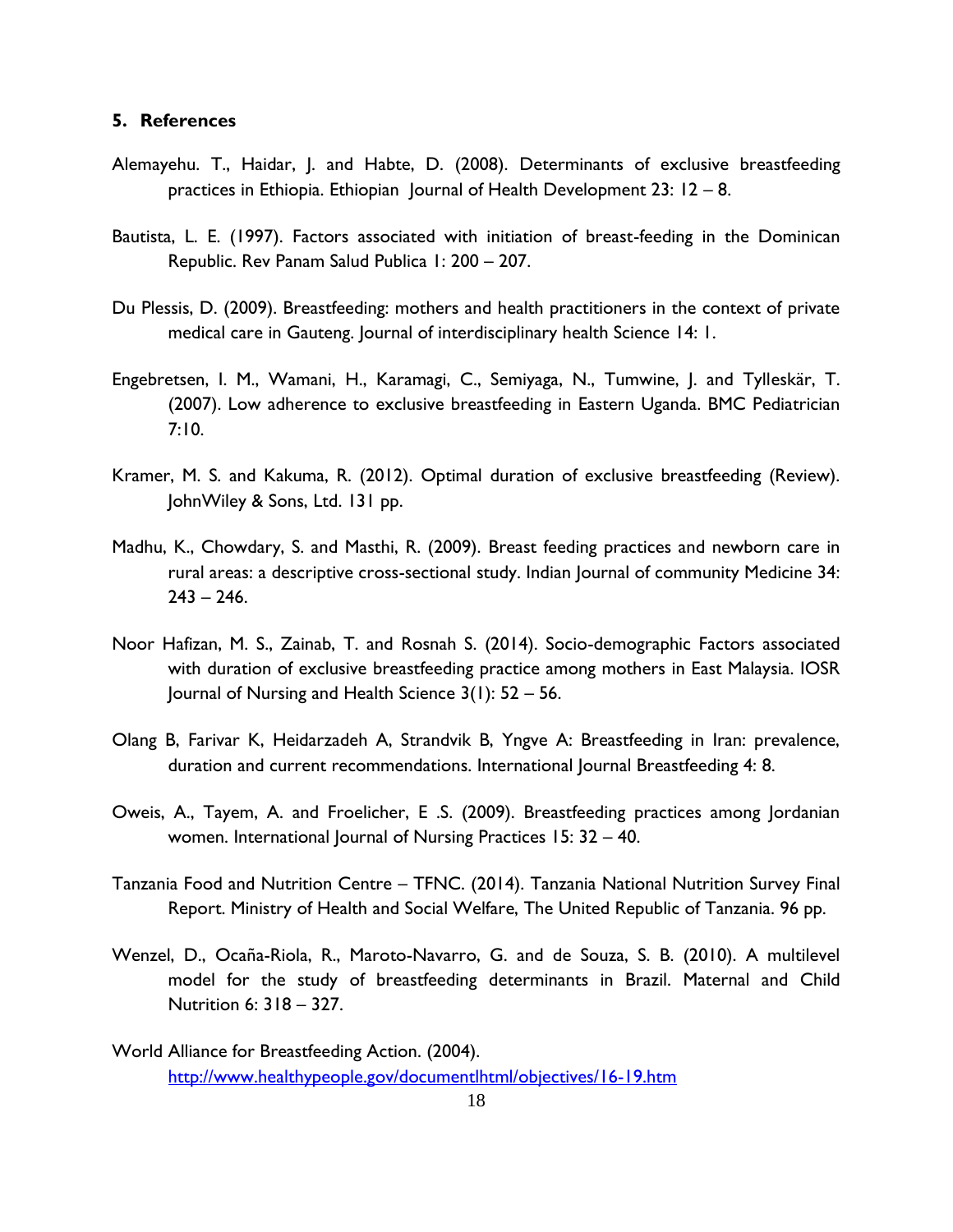#### <span id="page-21-0"></span>**5. References**

- Alemayehu. T., Haidar, J. and Habte, D. (2008). Determinants of exclusive breastfeeding practices in Ethiopia. Ethiopian Journal of Health Development 23: 12 – 8.
- Bautista, L. E. (1997). Factors associated with initiation of breast-feeding in the Dominican Republic. Rev Panam Salud Publica 1: 200 – 207.
- Du Plessis, D. (2009). Breastfeeding: mothers and health practitioners in the context of private medical care in Gauteng. Journal of interdisciplinary health Science 14: 1.
- Engebretsen, I. M., Wamani, H., Karamagi, C., Semiyaga, N., Tumwine, J. and Tylleskär, T. (2007). Low adherence to exclusive breastfeeding in Eastern Uganda. BMC Pediatrician 7:10.
- Kramer, M. S. and Kakuma, R. (2012). Optimal duration of exclusive breastfeeding (Review). JohnWiley & Sons, Ltd. 131 pp.
- Madhu, K., Chowdary, S. and Masthi, R. (2009). Breast feeding practices and newborn care in rural areas: a descriptive cross-sectional study. Indian Journal of community Medicine 34:  $243 - 246.$
- Noor Hafizan, M. S., Zainab, T. and Rosnah S. (2014). Socio-demographic Factors associated with duration of exclusive breastfeeding practice among mothers in East Malaysia. IOSR Journal of Nursing and Health Science 3(1): 52 – 56.
- Olang B, Farivar K, Heidarzadeh A, Strandvik B, Yngve A: Breastfeeding in Iran: prevalence, duration and current recommendations. International Journal Breastfeeding 4: 8.
- Oweis, A., Tayem, A. and Froelicher, E .S. (2009). Breastfeeding practices among Jordanian women. International Journal of Nursing Practices 15: 32 – 40.
- Tanzania Food and Nutrition Centre TFNC. (2014). Tanzania National Nutrition Survey Final Report. Ministry of Health and Social Welfare, The United Republic of Tanzania. 96 pp.
- Wenzel, D., Ocaña-Riola, R., Maroto-Navarro, G. and de Souza, S. B. (2010). A multilevel model for the study of breastfeeding determinants in Brazil. Maternal and Child Nutrition 6: 318 – 327.
- World Alliance for Breastfeeding Action. (2004). <http://www.healthypeople.gov/documentlhtml/objectives/16-19.htm>